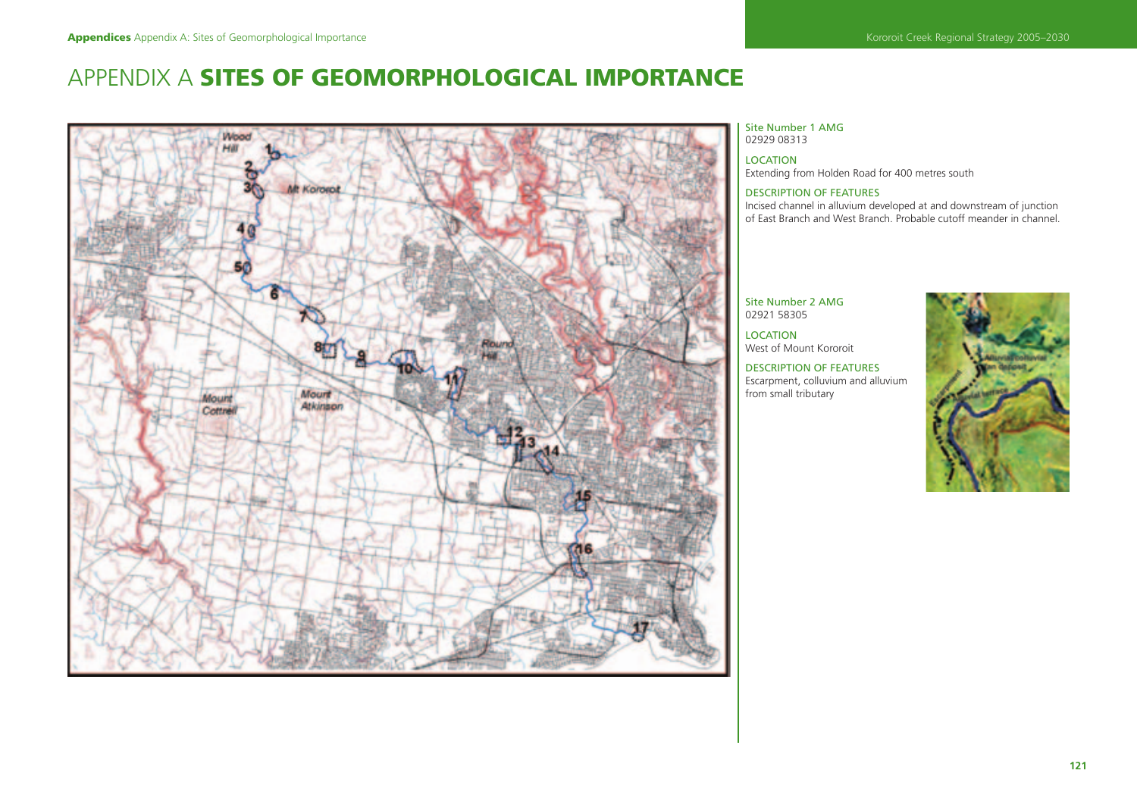# APPENDIX A **SITES OF GEOMORPHOLOGICAL IMPORTANCE**



#### Site Number 1 AMG 02929 08313

LOCATION Extending from Holden Road for 400 metres south

# DESCRIPTION OF FEATURES

Incised channel in alluvium developed at and downstream of junction of East Branch and West Branch. Probable cutoff meander in channel.

# Site Number 2 AMG 02921 58305

LOCATION West of Mount Kororoit

DESCRIPTION OF FEATURES Escarpment, colluvium and alluvium from small tributary

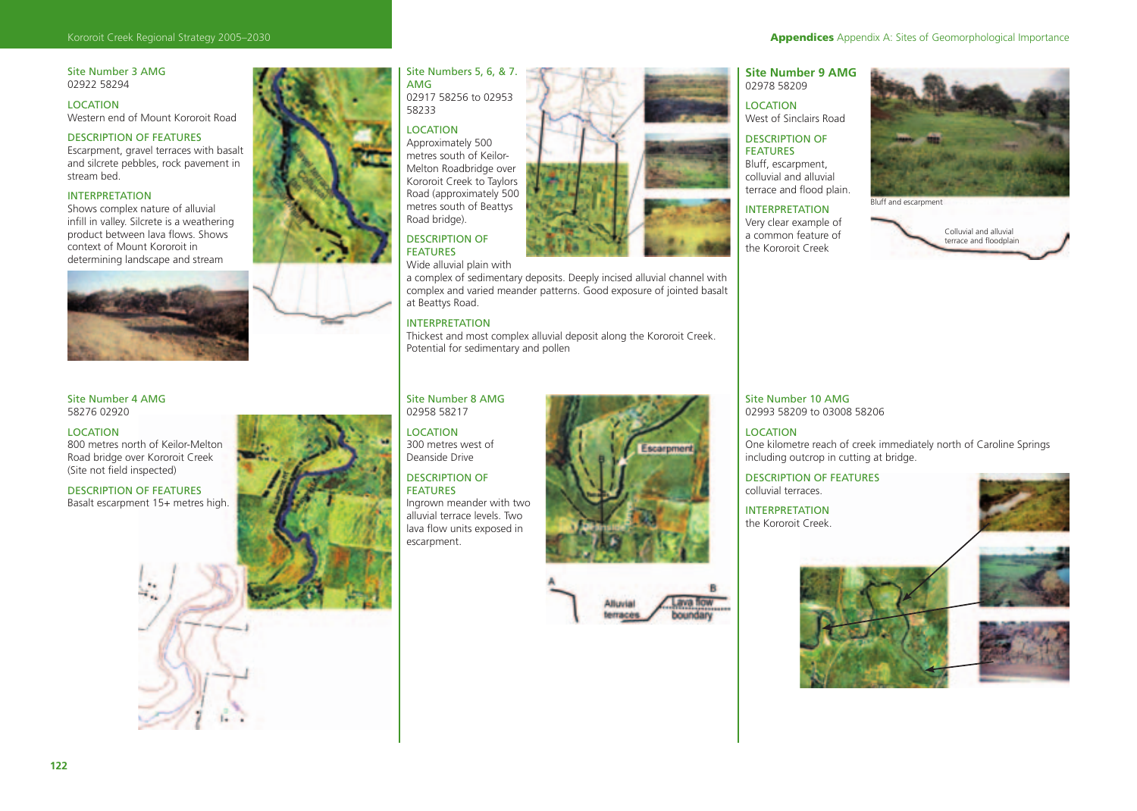# Site Number 3 AMG 02922 58294

LOCATION Western end of Mount Kororoit Road

# DESCRIPTION OF FEATURES

Escarpment, gravel terraces with basalt and silcrete pebbles, rock pavement in stream bed.

# INTERPRETATION

Shows complex nature of alluvial infill in valley. Silcrete is a weathering product between lava flows. Shows context of Mount Kororoit in determining landscape and stream



Site Number 4 AMG 58276 02920

### LOCATION

800 metres north of Keilor-Melton Road bridge over Kororoit Creek (Site not field inspected)

DESCRIPTION OF FEATURES Basalt escarpment 15+ metres high.



## Site Numbers 5, 6, & 7. AMG 02917 58256 to 02953 58233

#### LOCATION

Approximately 500 metres south of Keilor-Melton Roadbridge over Kororoit Creek to Taylors Road (approximately 500 metres south of Beattys Road bridge).

#### DESCRIPTION OF FEATURES

Wide alluvial plain with

a complex of sedimentary deposits. Deeply incised alluvial channel with complex and varied meander patterns. Good exposure of jointed basalt at Beattys Road.

# INTERPRETATION

Thickest and most complex alluvial deposit along the Kororoit Creek. Potential for sedimentary and pollen

# Site Number 8 AMG 02958 58217

# LOCATION

300 metres west of Deanside Drive

# DESCRIPTION OF FEATURES

Ingrown meander with two alluvial terrace levels. Two lava flow units exposed in escarpment.



Alluvia

# **Site Number 9 AMG**  02978 58209

LOCATION West of Sinclairs Road

#### DESCRIPTION OF FEATURES

Bluff, escarpment, colluvial and alluvial terrace and flood plain.

# INTERPRETATION Very clear example of

a common feature of the Kororoit Creek



Bluff and escarpment



Site Number 10 AMG 02993 58209 to 03008 58206

# LOCATION One kilometre reach of creek immediately north of Caroline Springs including outcrop in cutting at bridge.

DESCRIPTION OF FEATURES colluvial terraces.

INTERPRETATION the Kororoit Creek.





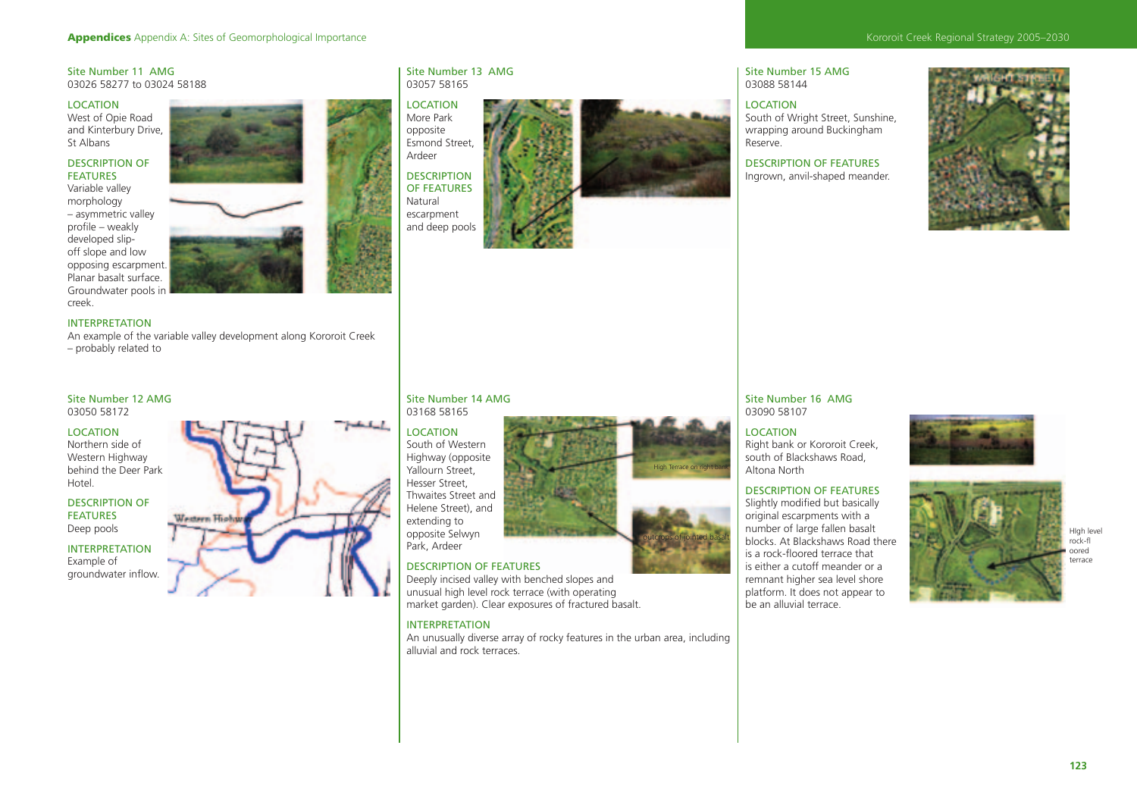# Kororoit Creek Regional Strategy 2005–2030

# Site Number 11 AMG 03026 58277 to 03024 58188

#### LOCATION West of Opie Road

and Kinterbury Drive, St Albans

# DESCRIPTION OF FEATURES

Variable valley morphology – asymmetric valley profile – weakly developed slipoff slope and low opposing escarpment. Planar basalt surface. Groundwater pools in creek.



# INTERPRETATION

An example of the variable valley development along Kororoit Creek – probably related to

Western Highs

#### Site Number 12 AMG 03050 58172

LOCATION Northern side of Western Highway behind the Deer Park Hotel.

# DESCRIPTION OF FEATURES Deep pools

INTERPRETATION

# Example of

groundwater inflow.

# Site Number 13 AMG 03057 58165

LOCATION More Park opposite Esmond Street, Ardeer DESCRIPTION OF FEATURES Natural escarpment and deep pools



Site Number 15 AMG 03088 58144

# LOCATION South of Wright Street, Sunshine, wrapping around Buckingham Reserve.

DESCRIPTION OF FEATURES Ingrown, anvil-shaped meander.



Site Number 16 AMG 03090 58107

# LOCATION

Right bank or Kororoit Creek, south of Blackshaws Road, Altona North

# DESCRIPTION OF FEATURES

Slightly modified but basically original escarpments with a number of large fallen basalt is a rock-floored terrace that is either a cutoff meander or a remnant higher sea level shore platform. It does not appear to be an alluvial terrace.







# DESCRIPTION OF FEATURES

Site Number 14 AMG 03168 58165 LOCATION South of Western Highway (opposite Yallourn Street, Hesser Street, Thwaites Street and Helene Street), and extending to opposite Selwyn Park, Ardeer

Deeply incised valley with benched slopes and unusual high level rock terrace (with operating market garden). Clear exposures of fractured basalt.

# INTERPRETATION

An unusually diverse array of rocky features in the urban area, including alluvial and rock terraces.

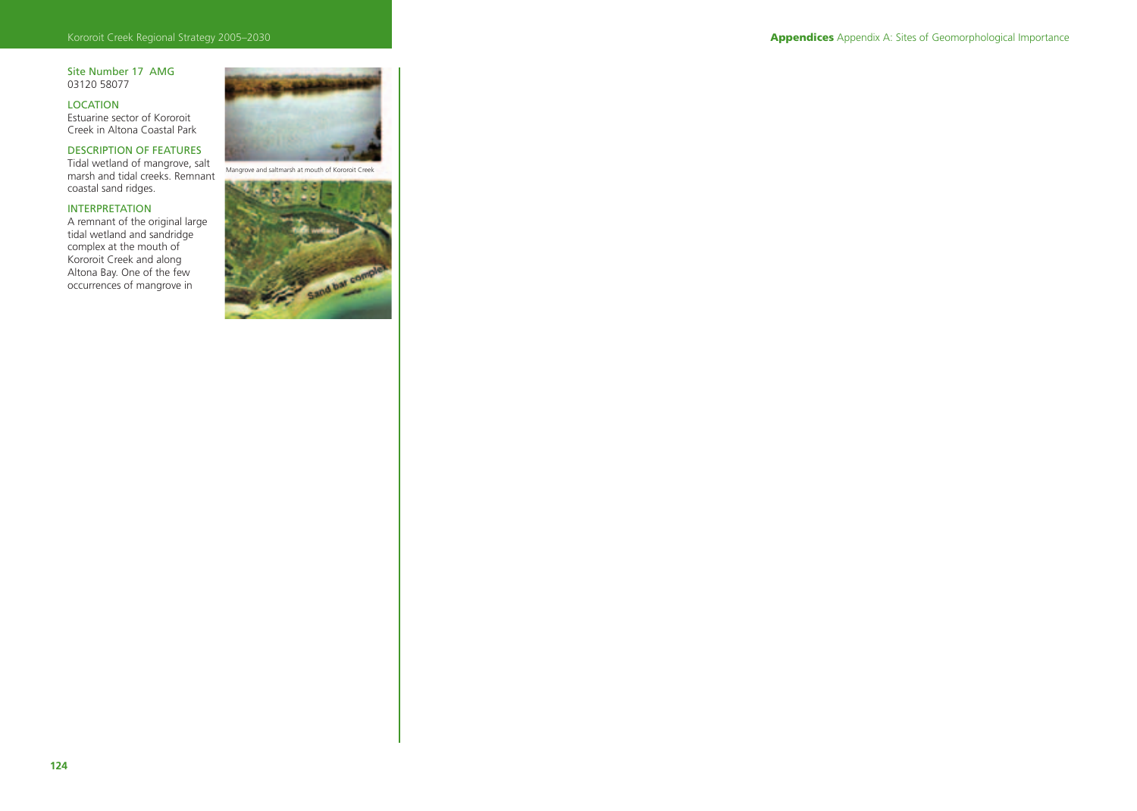# Site Number 17 AMG 03120 58077

LOCATION Estuarine sector of Kororoit Creek in Altona Coastal Park

# DESCRIPTION OF FEATURES

Tidal wetland of mangrove, salt marsh and tidal creeks. Remnant coastal sand ridges.

# INTERPRETATION

A remnant of the original large tidal wetland and sandridge complex at the mouth of Kororoit Creek and along Altona Bay. One of the few occurrences of mangrove in



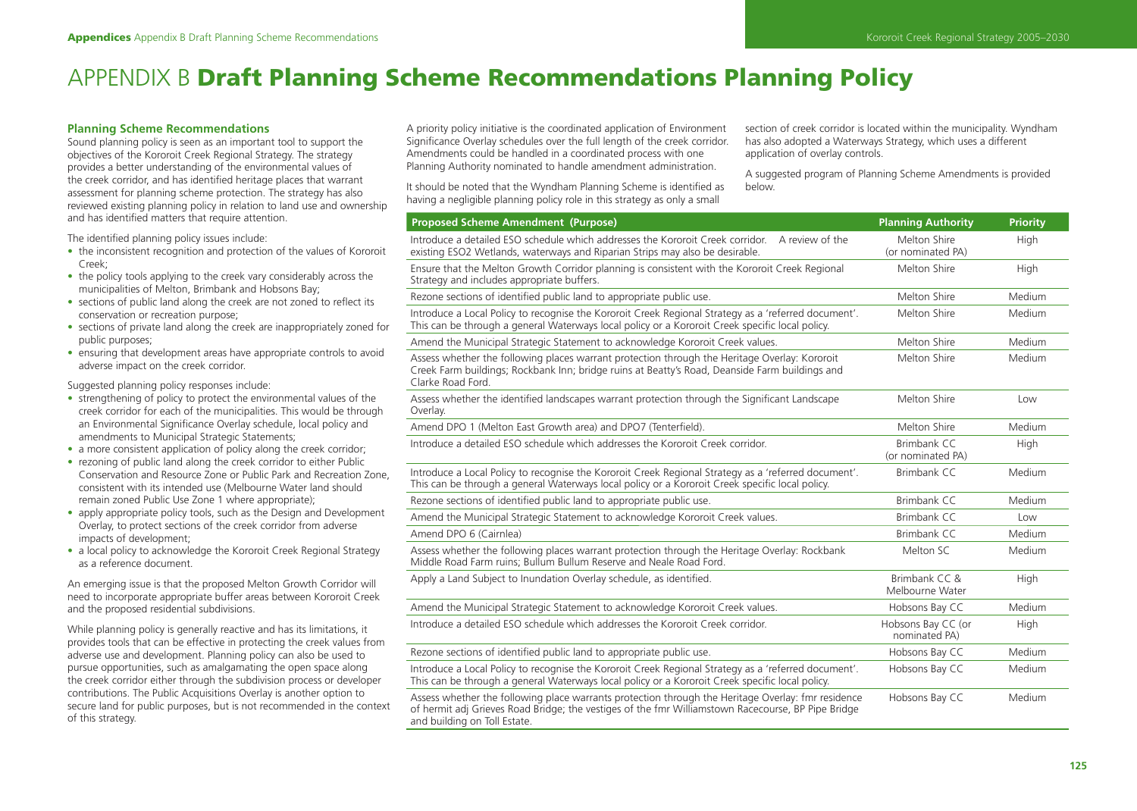# APPENDIX B **Draft Planning Scheme Recommendations Planning Policy**

# **Planning Scheme Recommendations**

Sound planning policy is seen as an important tool to support the objectives of the Kororoit Creek Regional Strategy. The strategy provides a better understanding of the environmental values of the creek corridor, and has identified heritage places that warrant assessment for planning scheme protection. The strategy has also reviewed existing planning policy in relation to land use and ownership and has identified matters that require attention.

The identified planning policy issues include:

- the inconsistent recognition and protection of the values of Kororoit Creek;
- the policy tools applying to the creek vary considerably across the municipalities of Melton, Brimbank and Hobsons Bay;
- sections of public land along the creek are not zoned to reflect its conservation or recreation purpose;
- sections of private land along the creek are inappropriately zoned for public purposes;
- ensuring that development areas have appropriate controls to avoid adverse impact on the creek corridor.

Suggested planning policy responses include:

- strengthening of policy to protect the environmental values of the creek corridor for each of the municipalities. This would be through an Environmental Significance Overlay schedule, local policy and amendments to Municipal Strategic Statements;
- a more consistent application of policy along the creek corridor;
- rezoning of public land along the creek corridor to either Public Conservation and Resource Zone or Public Park and Recreation Zone, consistent with its intended use (Melbourne Water land should remain zoned Public Use Zone 1 where appropriate);
- apply appropriate policy tools, such as the Design and Development Overlay, to protect sections of the creek corridor from adverse impacts of development;
- a local policy to acknowledge the Kororoit Creek Regional Strategy as a reference document.

An emerging issue is that the proposed Melton Growth Corridor will need to incorporate appropriate buffer areas between Kororoit Creek and the proposed residential subdivisions.

While planning policy is generally reactive and has its limitations, it provides tools that can be effective in protecting the creek values from adverse use and development. Planning policy can also be used to pursue opportunities, such as amalgamating the open space along the creek corridor either through the subdivision process or developer contributions. The Public Acquisitions Overlay is another option to secure land for public purposes, but is not recommended in the context of this strategy.

A priority policy initiative is the coordinated application of Environment Significance Overlay schedules over the full length of the creek corridor. Amendments could be handled in a coordinated process with one Planning Authority nominated to handle amendment administration.

It should be noted that the Wyndham Planning Scheme is identified as having a negligible planning policy role in this strategy as only a small

section of creek corridor is located within the municipality. Wyndham has also adopted a Waterways Strategy, which uses a different application of overlay controls.

A suggested program of Planning Scheme Amendments is provided below.

| <b>Proposed Scheme Amendment (Purpose)</b>                                                                                                                                                                                               | <b>Planning Authority</b>           | <b>Priority</b> |
|------------------------------------------------------------------------------------------------------------------------------------------------------------------------------------------------------------------------------------------|-------------------------------------|-----------------|
| Introduce a detailed ESO schedule which addresses the Kororoit Creek corridor.<br>A review of the<br>existing ESO2 Wetlands, waterways and Riparian Strips may also be desirable.                                                        | Melton Shire<br>(or nominated PA)   | High            |
| Ensure that the Melton Growth Corridor planning is consistent with the Kororoit Creek Regional<br>Strategy and includes appropriate buffers.                                                                                             | Melton Shire                        | High            |
| Rezone sections of identified public land to appropriate public use.                                                                                                                                                                     | Melton Shire                        | Medium          |
| Introduce a Local Policy to recognise the Kororoit Creek Regional Strategy as a 'referred document'.<br>This can be through a general Waterways local policy or a Kororoit Creek specific local policy.                                  | Melton Shire                        | Medium          |
| Amend the Municipal Strategic Statement to acknowledge Kororoit Creek values.                                                                                                                                                            | Melton Shire                        | Medium          |
| Assess whether the following places warrant protection through the Heritage Overlay: Kororoit<br>Creek Farm buildings; Rockbank Inn; bridge ruins at Beatty's Road, Deanside Farm buildings and<br>Clarke Road Ford.                     | Melton Shire                        | Medium          |
| Assess whether the identified landscapes warrant protection through the Significant Landscape<br>Overlay.                                                                                                                                | Melton Shire                        | Low             |
| Amend DPO 1 (Melton East Growth area) and DPO7 (Tenterfield).                                                                                                                                                                            | Melton Shire                        | Medium          |
| Introduce a detailed ESO schedule which addresses the Kororoit Creek corridor.                                                                                                                                                           | Brimbank CC<br>(or nominated PA)    | High            |
| Introduce a Local Policy to recognise the Kororoit Creek Regional Strategy as a 'referred document'.<br>This can be through a general Waterways local policy or a Kororoit Creek specific local policy.                                  | <b>Brimbank CC</b>                  | Medium          |
| Rezone sections of identified public land to appropriate public use.                                                                                                                                                                     | Brimbank CC                         | Medium          |
| Amend the Municipal Strategic Statement to acknowledge Kororoit Creek values.                                                                                                                                                            | <b>Brimbank CC</b>                  | Low             |
| Amend DPO 6 (Cairnlea)                                                                                                                                                                                                                   | Brimbank CC                         | Medium          |
| Assess whether the following places warrant protection through the Heritage Overlay: Rockbank<br>Middle Road Farm ruins; Bullum Bullum Reserve and Neale Road Ford.                                                                      | Melton SC                           | Medium          |
| Apply a Land Subject to Inundation Overlay schedule, as identified.                                                                                                                                                                      | Brimbank CC &<br>Melbourne Water    | High            |
| Amend the Municipal Strategic Statement to acknowledge Kororoit Creek values.                                                                                                                                                            | Hobsons Bay CC                      | Medium          |
| Introduce a detailed ESO schedule which addresses the Kororoit Creek corridor.                                                                                                                                                           | Hobsons Bay CC (or<br>nominated PA) | High            |
| Rezone sections of identified public land to appropriate public use.                                                                                                                                                                     | Hobsons Bay CC                      | Medium          |
| Introduce a Local Policy to recognise the Kororoit Creek Regional Strategy as a 'referred document'.<br>This can be through a general Waterways local policy or a Kororoit Creek specific local policy.                                  | Hobsons Bay CC                      | Medium          |
| Assess whether the following place warrants protection through the Heritage Overlay: fmr residence<br>of hermit adj Grieves Road Bridge; the vestiges of the fmr Williamstown Racecourse, BP Pipe Bridge<br>and building on Toll Estate. | Hobsons Bay CC                      | Medium          |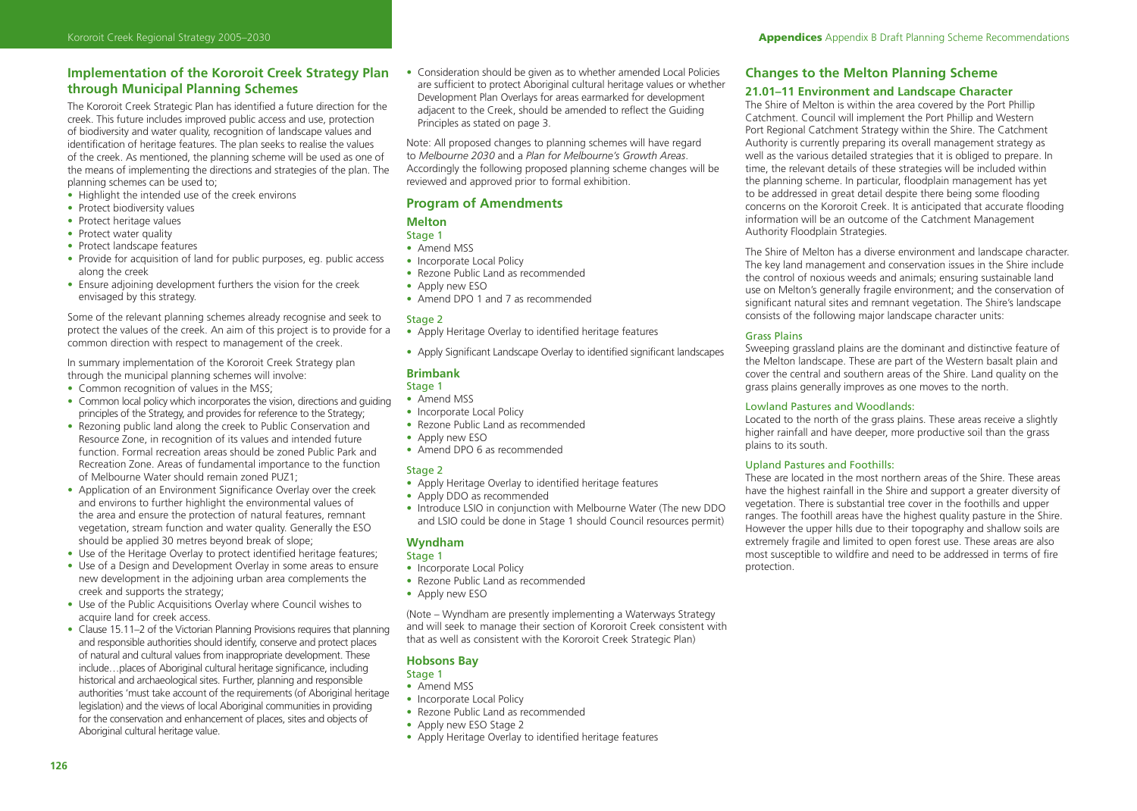# **Implementation of the Kororoit Creek Strategy Plan through Municipal Planning Schemes**

The Kororoit Creek Strategic Plan has identified a future direction for the creek. This future includes improved public access and use, protection of biodiversity and water quality, recognition of landscape values and identification of heritage features. The plan seeks to realise the values of the creek. As mentioned, the planning scheme will be used as one of the means of implementing the directions and strategies of the plan. The planning schemes can be used to;

- Highlight the intended use of the creek environs
- Protect biodiversity values
- Protect heritage values
- Protect water quality
- Protect landscape features
- Provide for acquisition of land for public purposes, eq. public access along the creek
- Ensure adjoining development furthers the vision for the creek envisaged by this strategy.

Some of the relevant planning schemes already recognise and seek to protect the values of the creek. An aim of this project is to provide for a common direction with respect to management of the creek.

In summary implementation of the Kororoit Creek Strategy plan through the municipal planning schemes will involve:

- Common recognition of values in the MSS;
- Common local policy which incorporates the vision, directions and quiding principles of the Strategy, and provides for reference to the Strategy;
- Rezoning public land along the creek to Public Conservation and Resource Zone, in recognition of its values and intended future function. Formal recreation areas should be zoned Public Park and Recreation Zone. Areas of fundamental importance to the function of Melbourne Water should remain zoned PUZ1;
- Application of an Environment Significance Overlay over the creek and environs to further highlight the environmental values of the area and ensure the protection of natural features, remnant vegetation, stream function and water quality. Generally the ESO should be applied 30 metres beyond break of slope;
- Use of the Heritage Overlay to protect identified heritage features;
- Use of a Design and Development Overlay in some areas to ensure new development in the adjoining urban area complements the creek and supports the strategy;
- Use of the Public Acquisitions Overlay where Council wishes to acquire land for creek access.
- Clause 15.11–2 of the Victorian Planning Provisions requires that planning and responsible authorities should identify, conserve and protect places of natural and cultural values from inappropriate development. These include...places of Aboriginal cultural heritage significance, including historical and archaeological sites. Further, planning and responsible authorities 'must take account of the requirements (of Aboriginal heritage legislation) and the views of local Aboriginal communities in providing for the conservation and enhancement of places, sites and objects of Aboriginal cultural heritage value.

• Consideration should be given as to whether amended Local Policies are sufficient to protect Aboriginal cultural heritage values or whether Development Plan Overlays for areas earmarked for development adjacent to the Creek, should be amended to reflect the Guiding Principles as stated on page 3.

Note: All proposed changes to planning schemes will have regard to *Melbourne 2030* and a *Plan for Melbourne's Growth Areas*. Accordingly the following proposed planning scheme changes will be reviewed and approved prior to formal exhibition.

# **Program of Amendments**

# **Melton**

- Stage 1
- Amend MSS
- Incorporate Local Policy
- Rezone Public Land as recommended
- Apply new ESO
- Amend DPO 1 and 7 as recommended

# Stage 2

- Apply Heritage Overlay to identified heritage features
- Apply Significant Landscape Overlay to identified significant landscapes

# **Brimbank**

- Stage 1
- Amend MSS
- Incorporate Local Policy
- Rezone Public Land as recommended
- Apply new ESO
- Amend DPO 6 as recommended

# Stage 2

- Apply Heritage Overlay to identified heritage features
- Apply DDO as recommended
- Introduce LSIO in conjunction with Melbourne Water (The new DDO and LSIO could be done in Stage 1 should Council resources permit)

# **Wyndham**

# Stage 1

- Incorporate Local Policy
- Rezone Public Land as recommended
- Apply new ESO

(Note – Wyndham are presently implementing a Waterways Strategy and will seek to manage their section of Kororoit Creek consistent with that as well as consistent with the Kororoit Creek Strategic Plan)

# **Hobsons Bay**

- Stage 1
- Amend MSS
- Incorporate Local Policy
- Rezone Public Land as recommended
- Apply new ESO Stage 2
- Apply Heritage Overlay to identified heritage features

# **Changes to the Melton Planning Scheme**

# **21.01–11 Environment and Landscape Character**

The Shire of Melton is within the area covered by the Port Phillip Catchment. Council will implement the Port Phillip and Western Port Regional Catchment Strategy within the Shire. The Catchment Authority is currently preparing its overall management strategy as well as the various detailed strategies that it is obliged to prepare. In time, the relevant details of these strategies will be included within the planning scheme. In particular, floodplain management has yet to be addressed in great detail despite there being some flooding concerns on the Kororoit Creek. It is anticipated that accurate flooding information will be an outcome of the Catchment Management Authority Floodplain Strategies.

The Shire of Melton has a diverse environment and landscape character. The key land management and conservation issues in the Shire include the control of noxious weeds and animals; ensuring sustainable land use on Melton's generally fragile environment; and the conservation of significant natural sites and remnant vegetation. The Shire's landscape consists of the following major landscape character units:

# Grass Plains

Sweeping grassland plains are the dominant and distinctive feature of the Melton landscape. These are part of the Western basalt plain and cover the central and southern areas of the Shire. Land quality on the grass plains generally improves as one moves to the north.

# Lowland Pastures and Woodlands:

Located to the north of the grass plains. These areas receive a slightly higher rainfall and have deeper, more productive soil than the grass plains to its south.

# Upland Pastures and Foothills:

These are located in the most northern areas of the Shire. These areas have the highest rainfall in the Shire and support a greater diversity of vegetation. There is substantial tree cover in the foothills and upper ranges. The foothill areas have the highest quality pasture in the Shire. However the upper hills due to their topography and shallow soils are extremely fragile and limited to open forest use. These areas are also most susceptible to wildfire and need to be addressed in terms of fire protection.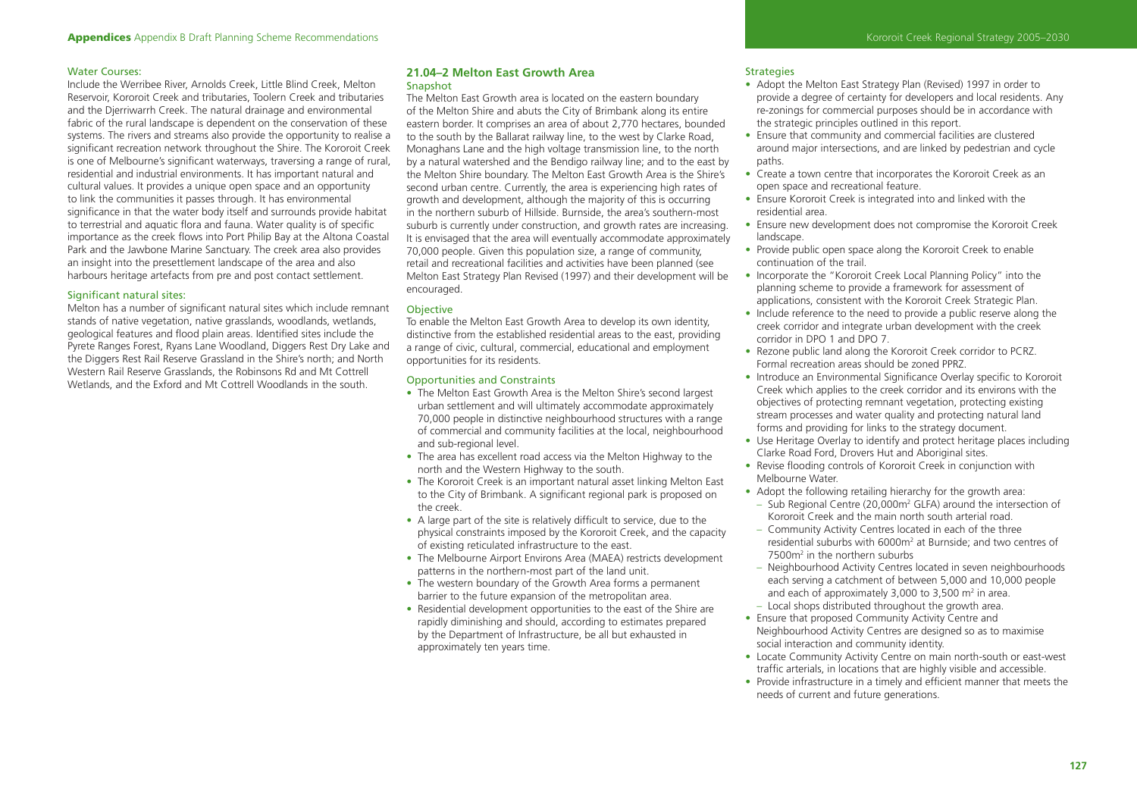#### Water Courses:

Include the Werribee River, Arnolds Creek, Little Blind Creek, Melton Reservoir, Kororoit Creek and tributaries, Toolern Creek and tributaries and the Djerriwarrh Creek. The natural drainage and environmental fabric of the rural landscape is dependent on the conservation of these systems. The rivers and streams also provide the opportunity to realise a significant recreation network throughout the Shire. The Kororoit Creek is one of Melbourne's significant waterways, traversing a range of rural, residential and industrial environments. It has important natural and cultural values. It provides a unique open space and an opportunity to link the communities it passes through. It has environmental significance in that the water body itself and surrounds provide habitat to terrestrial and aquatic flora and fauna. Water quality is of specific importance as the creek flows into Port Philip Bay at the Altona Coastal Park and the Jawbone Marine Sanctuary. The creek area also provides an insight into the presettlement landscape of the area and also harbours heritage artefacts from pre and post contact settlement.

#### Significant natural sites:

Melton has a number of significant natural sites which include remnant stands of native vegetation, native grasslands, woodlands, wetlands, geological features and flood plain areas. Identified sites include the Pyrete Ranges Forest, Ryans Lane Woodland, Diggers Rest Dry Lake and the Diggers Rest Rail Reserve Grassland in the Shire's north; and North Western Rail Reserve Grasslands, the Robinsons Rd and Mt Cottrell Wetlands, and the Exford and Mt Cottrell Woodlands in the south.

# **21.04–2 Melton East Growth Area**  Snapshot

The Melton East Growth area is located on the eastern boundary of the Melton Shire and abuts the City of Brimbank along its entire eastern border. It comprises an area of about 2,770 hectares, bounded to the south by the Ballarat railway line, to the west by Clarke Road, Monaghans Lane and the high voltage transmission line, to the north by a natural watershed and the Bendigo railway line; and to the east by the Melton Shire boundary. The Melton East Growth Area is the Shire's second urban centre. Currently, the area is experiencing high rates of growth and development, although the majority of this is occurring in the northern suburb of Hillside. Burnside, the area's southern-most suburb is currently under construction, and growth rates are increasing. It is envisaged that the area will eventually accommodate approximately 70,000 people. Given this population size, a range of community, retail and recreational facilities and activities have been planned (see Melton East Strategy Plan Revised (1997) and their development will be encouraged.

# **Objective**

To enable the Melton East Growth Area to develop its own identity, distinctive from the established residential areas to the east, providing a range of civic, cultural, commercial, educational and employment opportunities for its residents.

# Opportunities and Constraints

- The Melton East Growth Area is the Melton Shire's second largest urban settlement and will ultimately accommodate approximately 70,000 people in distinctive neighbourhood structures with a range of commercial and community facilities at the local, neighbourhood and sub-regional level.
- The area has excellent road access via the Melton Highway to the north and the Western Highway to the south.
- The Kororoit Creek is an important natural asset linking Melton East to the City of Brimbank. A significant regional park is proposed on the creek.
- A large part of the site is relatively difficult to service, due to the physical constraints imposed by the Kororoit Creek, and the capacity of existing reticulated infrastructure to the east.
- The Melbourne Airport Environs Area (MAEA) restricts development patterns in the northern-most part of the land unit.
- The western boundary of the Growth Area forms a permanent barrier to the future expansion of the metropolitan area.
- Residential development opportunities to the east of the Shire are rapidly diminishing and should, according to estimates prepared by the Department of Infrastructure, be all but exhausted in approximately ten years time.

#### **Strategies**

- Adopt the Melton East Strategy Plan (Revised) 1997 in order to provide a degree of certainty for developers and local residents. Any re-zonings for commercial purposes should be in accordance with the strategic principles outlined in this report.
- Ensure that community and commercial facilities are clustered around major intersections, and are linked by pedestrian and cycle paths.
- Create a town centre that incorporates the Kororoit Creek as an open space and recreational feature.
- Ensure Kororoit Creek is integrated into and linked with the residential area.
- Ensure new development does not compromise the Kororoit Creek landscape.
- Provide public open space along the Kororoit Creek to enable continuation of the trail.
- Incorporate the "Kororoit Creek Local Planning Policy" into the planning scheme to provide a framework for assessment of applications, consistent with the Kororoit Creek Strategic Plan.
- Include reference to the need to provide a public reserve along the creek corridor and integrate urban development with the creek corridor in DPO 1 and DPO 7.
- Rezone public land along the Kororoit Creek corridor to PCRZ. Formal recreation areas should be zoned PPRZ.
- Introduce an Environmental Significance Overlay specific to Kororoit Creek which applies to the creek corridor and its environs with the objectives of protecting remnant vegetation, protecting existing stream processes and water quality and protecting natural land forms and providing for links to the strategy document.
- Use Heritage Overlay to identify and protect heritage places including Clarke Road Ford, Drovers Hut and Aboriginal sites.
- Revise flooding controls of Kororoit Creek in conjunction with Melbourne Water.
- Adopt the following retailing hierarchy for the growth area:
- Sub Regional Centre (20,000m2 GLFA) around the intersection of Kororoit Creek and the main north south arterial road.
- Community Activity Centres located in each of the three residential suburbs with 6000m<sup>2</sup> at Burnside; and two centres of 7500m2 in the northern suburbs
- Neighbourhood Activity Centres located in seven neighbourhoods each serving a catchment of between 5,000 and 10,000 people and each of approximately 3,000 to 3,500  $\text{m}^2$  in area.
- Local shops distributed throughout the growth area.
- Ensure that proposed Community Activity Centre and Neighbourhood Activity Centres are designed so as to maximise social interaction and community identity.
- Locate Community Activity Centre on main north-south or east-west traffic arterials, in locations that are highly visible and accessible.
- Provide infrastructure in a timely and efficient manner that meets the needs of current and future generations.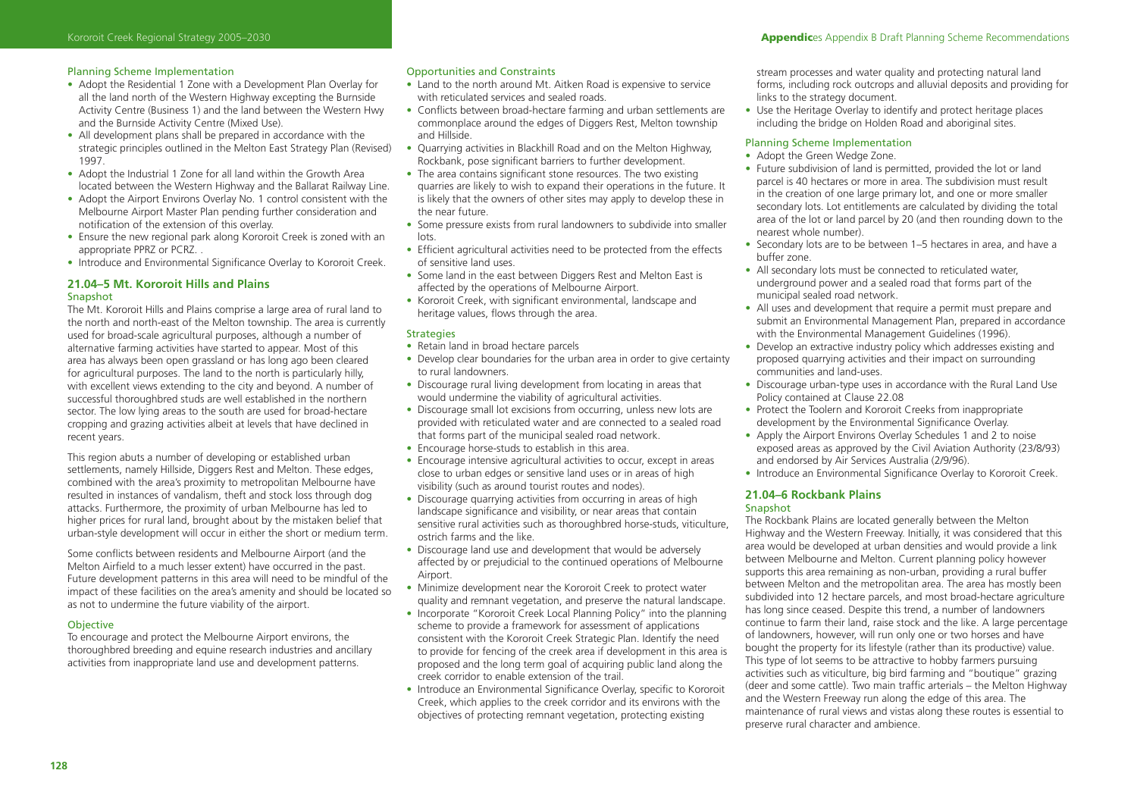# Planning Scheme Implementation

- Adopt the Residential 1 Zone with a Development Plan Overlay for all the land north of the Western Highway excepting the Burnside Activity Centre (Business 1) and the land between the Western Hwy and the Burnside Activity Centre (Mixed Use).
- All development plans shall be prepared in accordance with the strategic principles outlined in the Melton East Strategy Plan (Revised) 1997.
- Adopt the Industrial 1 Zone for all land within the Growth Area located between the Western Highway and the Ballarat Railway Line.
- Adopt the Airport Environs Overlay No. 1 control consistent with the Melbourne Airport Master Plan pending further consideration and notification of the extension of this overlay.
- Ensure the new regional park along Kororoit Creek is zoned with an appropriate PPRZ or PCRZ. .
- Introduce and Environmental Significance Overlay to Kororoit Creek.

### **21.04–5 Mt. Kororoit Hills and Plains**  Snapshot

The Mt. Kororoit Hills and Plains comprise a large area of rural land to the north and north-east of the Melton township. The area is currently used for broad-scale agricultural purposes, although a number of alternative farming activities have started to appear. Most of this area has always been open grassland or has long ago been cleared for agricultural purposes. The land to the north is particularly hilly, with excellent views extending to the city and beyond. A number of successful thoroughbred studs are well established in the northern sector. The low lying areas to the south are used for broad-hectare cropping and grazing activities albeit at levels that have declined in recent years.

This region abuts a number of developing or established urban settlements, namely Hillside, Diggers Rest and Melton. These edges, combined with the area's proximity to metropolitan Melbourne have resulted in instances of vandalism, theft and stock loss through dog attacks. Furthermore, the proximity of urban Melbourne has led to higher prices for rural land, brought about by the mistaken belief that urban-style development will occur in either the short or medium term.

Some conflicts between residents and Melbourne Airport (and the Melton Airfield to a much lesser extent) have occurred in the past. Future development patterns in this area will need to be mindful of the impact of these facilities on the area's amenity and should be located so as not to undermine the future viability of the airport.

# **Objective**

To encourage and protect the Melbourne Airport environs, the thoroughbred breeding and equine research industries and ancillary activities from inappropriate land use and development patterns.

# Opportunities and Constraints

- Land to the north around Mt. Aitken Road is expensive to service with reticulated services and sealed roads.
- Conflicts between broad-hectare farming and urban settlements are commonplace around the edges of Diggers Rest, Melton township and Hillside.
- Quarrying activities in Blackhill Road and on the Melton Highway, Rockbank, pose significant barriers to further development.
- The area contains significant stone resources. The two existing quarries are likely to wish to expand their operations in the future. It is likely that the owners of other sites may apply to develop these in the near future.
- Some pressure exists from rural landowners to subdivide into smaller lots.
- Efficient agricultural activities need to be protected from the effects of sensitive land uses.
- Some land in the east between Diggers Rest and Melton East is affected by the operations of Melbourne Airport.
- Kororoit Creek, with significant environmental, landscape and heritage values, flows through the area.

# Strategies

- Retain land in broad hectare parcels
- Develop clear boundaries for the urban area in order to give certainty to rural landowners.
- Discourage rural living development from locating in areas that would undermine the viability of agricultural activities.
- Discourage small lot excisions from occurring, unless new lots are provided with reticulated water and are connected to a sealed road that forms part of the municipal sealed road network.
- Encourage horse-studs to establish in this area.
- Encourage intensive agricultural activities to occur, except in areas close to urban edges or sensitive land uses or in areas of high visibility (such as around tourist routes and nodes).
- Discourage quarrying activities from occurring in areas of high landscape significance and visibility, or near areas that contain sensitive rural activities such as thoroughbred horse-studs, viticulture, ostrich farms and the like.
- Discourage land use and development that would be adversely affected by or prejudicial to the continued operations of Melbourne Airport.
- Minimize development near the Kororoit Creek to protect water quality and remnant vegetation, and preserve the natural landscape.
- Incorporate "Kororoit Creek Local Planning Policy" into the planning scheme to provide a framework for assessment of applications consistent with the Kororoit Creek Strategic Plan. Identify the need to provide for fencing of the creek area if development in this area is proposed and the long term goal of acquiring public land along the creek corridor to enable extension of the trail.
- Introduce an Environmental Significance Overlay, specific to Kororoit Creek, which applies to the creek corridor and its environs with the objectives of protecting remnant vegetation, protecting existing

stream processes and water quality and protecting natural land forms, including rock outcrops and alluvial deposits and providing for links to the strategy document.

• Use the Heritage Overlay to identify and protect heritage places including the bridge on Holden Road and aboriginal sites.

# Planning Scheme Implementation

- Adopt the Green Wedge Zone.
- Future subdivision of land is permitted, provided the lot or land parcel is 40 hectares or more in area. The subdivision must result in the creation of one large primary lot, and one or more smaller secondary lots. Lot entitlements are calculated by dividing the total area of the lot or land parcel by 20 (and then rounding down to the nearest whole number).
- Secondary lots are to be between 1–5 hectares in area, and have a buffer zone.
- All secondary lots must be connected to reticulated water, underground power and a sealed road that forms part of the municipal sealed road network.
- All uses and development that require a permit must prepare and submit an Environmental Management Plan, prepared in accordance with the Environmental Management Guidelines (1996).
- Develop an extractive industry policy which addresses existing and proposed quarrying activities and their impact on surrounding communities and land-uses.
- Discourage urban-type uses in accordance with the Rural Land Use Policy contained at Clause 22.08
- Protect the Toolern and Kororoit Creeks from inappropriate development by the Environmental Significance Overlay.
- Apply the Airport Environs Overlay Schedules 1 and 2 to noise exposed areas as approved by the Civil Aviation Authority (23/8/93) and endorsed by Air Services Australia (2/9/96).
- Introduce an Environmental Significance Overlay to Kororoit Creek.

# **21.04–6 Rockbank Plains**

# Snapshot The Rockbank Plains are located generally between the Melton Highway and the Western Freeway. Initially, it was considered that this area would be developed at urban densities and would provide a link between Melbourne and Melton. Current planning policy however supports this area remaining as non-urban, providing a rural buffer between Melton and the metropolitan area. The area has mostly been subdivided into 12 hectare parcels, and most broad-hectare agriculture has long since ceased. Despite this trend, a number of landowners continue to farm their land, raise stock and the like. A large percentage of landowners, however, will run only one or two horses and have bought the property for its lifestyle (rather than its productive) value. This type of lot seems to be attractive to hobby farmers pursuing activities such as viticulture, big bird farming and "boutique" grazing (deer and some cattle). Two main traffic arterials – the Melton Highway and the Western Freeway run along the edge of this area. The maintenance of rural views and vistas along these routes is essential to preserve rural character and ambience.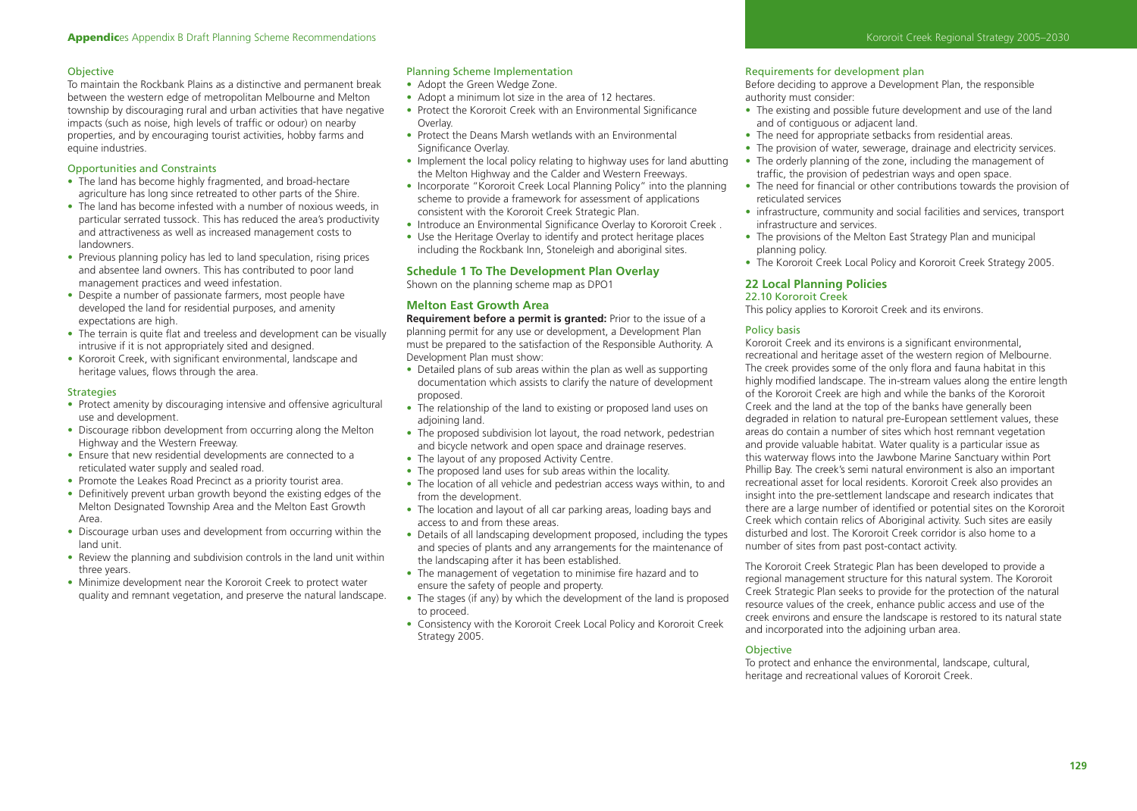# **Objective**

To maintain the Rockbank Plains as a distinctive and permanent break between the western edge of metropolitan Melbourne and Melton township by discouraging rural and urban activities that have negative impacts (such as noise, high levels of traffic or odour) on nearby properties, and by encouraging tourist activities, hobby farms and equine industries.

# Opportunities and Constraints

- The land has become highly fragmented, and broad-hectare agriculture has long since retreated to other parts of the Shire.
- The land has become infested with a number of noxious weeds, in particular serrated tussock. This has reduced the area's productivity and attractiveness as well as increased management costs to landowners.
- Previous planning policy has led to land speculation, rising prices and absentee land owners. This has contributed to poor land management practices and weed infestation.
- Despite a number of passionate farmers, most people have developed the land for residential purposes, and amenity expectations are high.
- The terrain is quite flat and treeless and development can be visually intrusive if it is not appropriately sited and designed.
- Kororoit Creek, with significant environmental, landscape and heritage values, flows through the area.

# **Strategies**

- Protect amenity by discouraging intensive and offensive agricultural use and development.
- Discourage ribbon development from occurring along the Melton Highway and the Western Freeway.
- Ensure that new residential developments are connected to a reticulated water supply and sealed road.
- Promote the Leakes Road Precinct as a priority tourist area.
- Definitively prevent urban growth beyond the existing edges of the Melton Designated Township Area and the Melton East Growth Area.
- Discourage urban uses and development from occurring within the land unit.
- Review the planning and subdivision controls in the land unit within three years.
- Minimize development near the Kororoit Creek to protect water quality and remnant vegetation, and preserve the natural landscape.

# Planning Scheme Implementation

- Adopt the Green Wedge Zone.
- Adopt a minimum lot size in the area of 12 hectares.
- Protect the Kororoit Creek with an Environmental Significance Overlay.
- Protect the Deans Marsh wetlands with an Environmental Significance Overlay.
- Implement the local policy relating to highway uses for land abutting the Melton Highway and the Calder and Western Freeways.
- Incorporate "Kororoit Creek Local Planning Policy" into the planning scheme to provide a framework for assessment of applications consistent with the Kororoit Creek Strategic Plan.
- Introduce an Environmental Significance Overlay to Kororoit Creek.
- Use the Heritage Overlay to identify and protect heritage places including the Rockbank Inn, Stoneleigh and aboriginal sites.

# **Schedule 1 To The Development Plan Overlay**

Shown on the planning scheme map as DPO1

# **Melton East Growth Area**

**Requirement before a permit is granted:** Prior to the issue of a planning permit for any use or development, a Development Plan must be prepared to the satisfaction of the Responsible Authority. A Development Plan must show:

- Detailed plans of sub areas within the plan as well as supporting documentation which assists to clarify the nature of development proposed.
- The relationship of the land to existing or proposed land uses on adjoining land.
- The proposed subdivision lot layout, the road network, pedestrian and bicycle network and open space and drainage reserves.
- The layout of any proposed Activity Centre.
- The proposed land uses for sub areas within the locality.
- The location of all vehicle and pedestrian access ways within, to and from the development.
- The location and layout of all car parking areas, loading bays and access to and from these areas.
- Details of all landscaping development proposed, including the types and species of plants and any arrangements for the maintenance of the landscaping after it has been established.
- The management of vegetation to minimise fire hazard and to ensure the safety of people and property.
- The stages (if any) by which the development of the land is proposed to proceed.
- Consistency with the Kororoit Creek Local Policy and Kororoit Creek Strategy 2005.

# Requirements for development plan

Before deciding to approve a Development Plan, the responsible authority must consider:

- The existing and possible future development and use of the land and of contiguous or adjacent land.
- The need for appropriate setbacks from residential areas.
- The provision of water, sewerage, drainage and electricity services. • The orderly planning of the zone, including the management of traffic, the provision of pedestrian ways and open space.
- The need for financial or other contributions towards the provision of reticulated services
- infrastructure, community and social facilities and services, transport infrastructure and services.
- The provisions of the Melton East Strategy Plan and municipal planning policy.
- The Kororoit Creek Local Policy and Kororoit Creek Strategy 2005.

## **22 Local Planning Policies**  22.10 Kororoit Creek

# This policy applies to Kororoit Creek and its environs.

# Policy basis

Kororoit Creek and its environs is a significant environmental, recreational and heritage asset of the western region of Melbourne. The creek provides some of the only flora and fauna habitat in this highly modified landscape. The in-stream values along the entire length of the Kororoit Creek are high and while the banks of the Kororoit Creek and the land at the top of the banks have generally been degraded in relation to natural pre-European settlement values, these areas do contain a number of sites which host remnant vegetation and provide valuable habitat. Water quality is a particular issue as this waterway flows into the Jawbone Marine Sanctuary within Port Phillip Bay. The creek's semi natural environment is also an important recreational asset for local residents. Kororoit Creek also provides an insight into the pre-settlement landscape and research indicates that there are a large number of identified or potential sites on the Kororoit Creek which contain relics of Aboriginal activity. Such sites are easily disturbed and lost. The Kororoit Creek corridor is also home to a number of sites from past post-contact activity.

The Kororoit Creek Strategic Plan has been developed to provide a regional management structure for this natural system. The Kororoit Creek Strategic Plan seeks to provide for the protection of the natural resource values of the creek, enhance public access and use of the creek environs and ensure the landscape is restored to its natural state and incorporated into the adjoining urban area.

# **Objective**

To protect and enhance the environmental, landscape, cultural, heritage and recreational values of Kororoit Creek.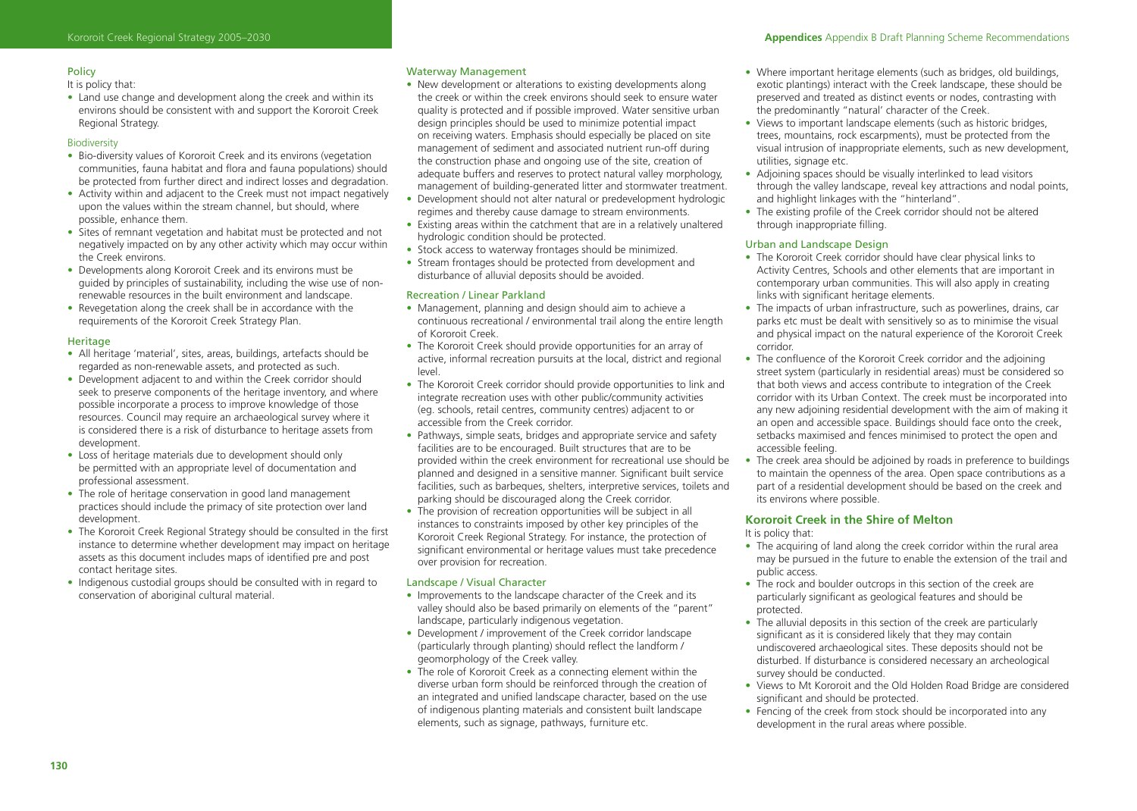# Policy

It is policy that:

• Land use change and development along the creek and within its environs should be consistent with and support the Kororoit Creek Regional Strategy.

# **Biodiversity**

- Bio-diversity values of Kororoit Creek and its environs (vegetation communities, fauna habitat and flora and fauna populations) should be protected from further direct and indirect losses and degradation.
- Activity within and adjacent to the Creek must not impact negatively upon the values within the stream channel, but should, where possible, enhance them.
- Sites of remnant vegetation and habitat must be protected and not negatively impacted on by any other activity which may occur within the Creek environs.
- Developments along Kororoit Creek and its environs must be guided by principles of sustainability, including the wise use of nonrenewable resources in the built environment and landscape.
- Revegetation along the creek shall be in accordance with the requirements of the Kororoit Creek Strategy Plan.

# **Heritage**

- All heritage 'material', sites, areas, buildings, artefacts should be regarded as non-renewable assets, and protected as such.
- Development adjacent to and within the Creek corridor should seek to preserve components of the heritage inventory, and where possible incorporate a process to improve knowledge of those resources. Council may require an archaeological survey where it is considered there is a risk of disturbance to heritage assets from development.
- Loss of heritage materials due to development should only be permitted with an appropriate level of documentation and professional assessment.
- The role of heritage conservation in good land management practices should include the primacy of site protection over land development.
- The Kororoit Creek Regional Strategy should be consulted in the first instance to determine whether development may impact on heritage assets as this document includes maps of identified pre and post contact heritage sites.
- Indigenous custodial groups should be consulted with in regard to conservation of aboriginal cultural material.

# Waterway Management

- New development or alterations to existing developments along the creek or within the creek environs should seek to ensure water quality is protected and if possible improved. Water sensitive urban design principles should be used to minimize potential impact on receiving waters. Emphasis should especially be placed on site management of sediment and associated nutrient run-off during the construction phase and ongoing use of the site, creation of adequate buffers and reserves to protect natural valley morphology, management of building-generated litter and stormwater treatment.
- Development should not alter natural or predevelopment hydrologic regimes and thereby cause damage to stream environments.
- Existing areas within the catchment that are in a relatively unaltered hydrologic condition should be protected.
- Stock access to waterway frontages should be minimized.
- Stream frontages should be protected from development and disturbance of alluvial deposits should be avoided.

# Recreation / Linear Parkland

- Management, planning and design should aim to achieve a continuous recreational / environmental trail along the entire length of Kororoit Creek.
- The Kororoit Creek should provide opportunities for an array of active, informal recreation pursuits at the local, district and regional level.
- The Kororoit Creek corridor should provide opportunities to link and integrate recreation uses with other public/community activities (eg. schools, retail centres, community centres) adjacent to or accessible from the Creek corridor.
- Pathways, simple seats, bridges and appropriate service and safety facilities are to be encouraged. Built structures that are to be provided within the creek environment for recreational use should be planned and designed in a sensitive manner. Significant built service facilities, such as barbeques, shelters, interpretive services, toilets and parking should be discouraged along the Creek corridor.
- The provision of recreation opportunities will be subject in all instances to constraints imposed by other key principles of the Kororoit Creek Regional Strategy. For instance, the protection of significant environmental or heritage values must take precedence over provision for recreation.

# Landscape / Visual Character

- Improvements to the landscape character of the Creek and its valley should also be based primarily on elements of the "parent" landscape, particularly indigenous vegetation.
- Development / improvement of the Creek corridor landscape (particularly through planting) should reflect the landform / geomorphology of the Creek valley.
- The role of Kororoit Creek as a connecting element within the diverse urban form should be reinforced through the creation of an integrated and unified landscape character, based on the use of indigenous planting materials and consistent built landscape elements, such as signage, pathways, furniture etc.
- Where important heritage elements (such as bridges, old buildings, exotic plantings) interact with the Creek landscape, these should be preserved and treated as distinct events or nodes, contrasting with the predominantly "natural' character of the Creek.
- Views to important landscape elements (such as historic bridges, trees, mountains, rock escarpments), must be protected from the visual intrusion of inappropriate elements, such as new development, utilities, signage etc.
- Adjoining spaces should be visually interlinked to lead visitors through the valley landscape, reveal key attractions and nodal points, and highlight linkages with the "hinterland".
- The existing profile of the Creek corridor should not be altered through inappropriate filling.

# Urban and Landscape Design

- The Kororoit Creek corridor should have clear physical links to Activity Centres, Schools and other elements that are important in contemporary urban communities. This will also apply in creating links with significant heritage elements.
- The impacts of urban infrastructure, such as powerlines, drains, car parks etc must be dealt with sensitively so as to minimise the visual and physical impact on the natural experience of the Kororoit Creek corridor.
- The confluence of the Kororoit Creek corridor and the adjoining street system (particularly in residential areas) must be considered so that both views and access contribute to integration of the Creek corridor with its Urban Context. The creek must be incorporated into any new adjoining residential development with the aim of making it an open and accessible space. Buildings should face onto the creek, setbacks maximised and fences minimised to protect the open and accessible feeling.
- The creek area should be adjoined by roads in preference to buildings to maintain the openness of the area. Open space contributions as a part of a residential development should be based on the creek and its environs where possible.

# **Kororoit Creek in the Shire of Melton**

It is policy that:

- The acquiring of land along the creek corridor within the rural area may be pursued in the future to enable the extension of the trail and public access.
- The rock and boulder outcrops in this section of the creek are particularly significant as geological features and should be protected.
- The alluvial deposits in this section of the creek are particularly significant as it is considered likely that they may contain undiscovered archaeological sites. These deposits should not be disturbed. If disturbance is considered necessary an archeological survey should be conducted.
- Views to Mt Kororoit and the Old Holden Road Bridge are considered significant and should be protected.
- Fencing of the creek from stock should be incorporated into any development in the rural areas where possible.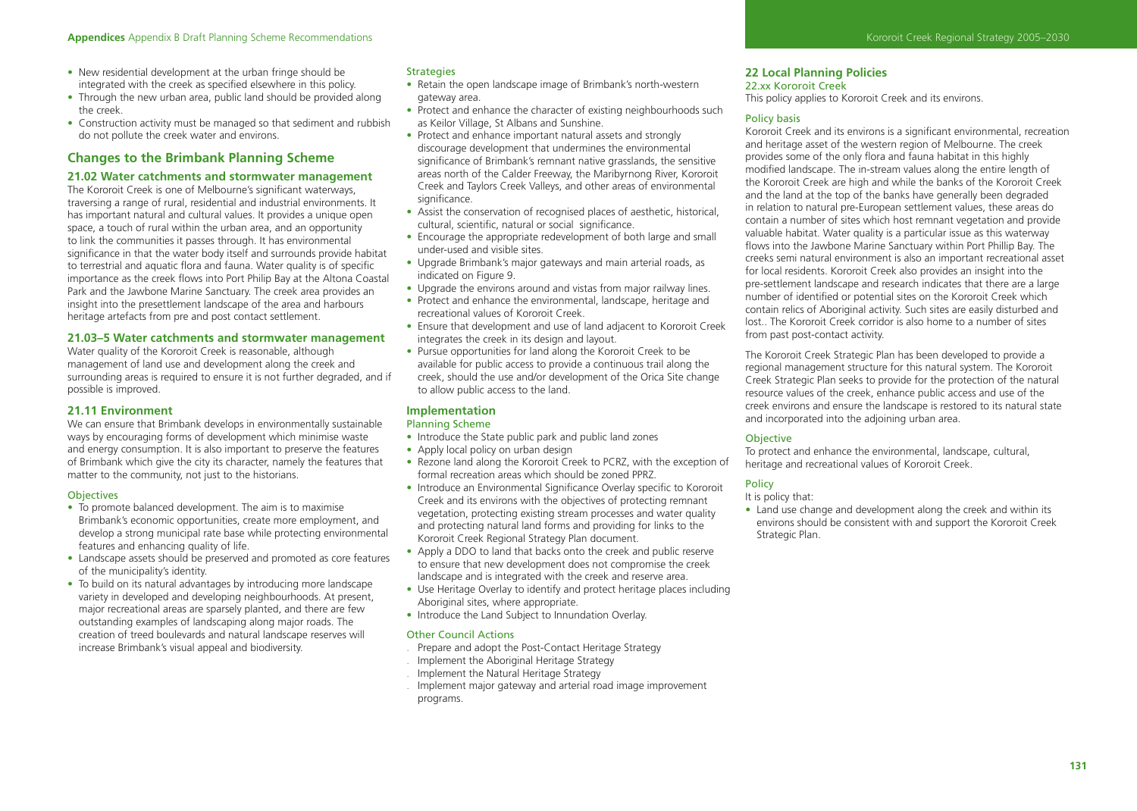- New residential development at the urban fringe should be integrated with the creek as specified elsewhere in this policy.
- Through the new urban area, public land should be provided along the creek.
- Construction activity must be managed so that sediment and rubbish do not pollute the creek water and environs.

# **Changes to the Brimbank Planning Scheme**

# **21.02 Water catchments and stormwater management**

The Kororoit Creek is one of Melbourne's significant waterways, traversing a range of rural, residential and industrial environments. It has important natural and cultural values. It provides a unique open space, a touch of rural within the urban area, and an opportunity to link the communities it passes through. It has environmental significance in that the water body itself and surrounds provide habitat to terrestrial and aquatic flora and fauna. Water quality is of specific importance as the creek flows into Port Philip Bay at the Altona Coastal Park and the Jawbone Marine Sanctuary. The creek area provides an insight into the presettlement landscape of the area and harbours heritage artefacts from pre and post contact settlement.

# **21.03–5 Water catchments and stormwater management**

Water quality of the Kororoit Creek is reasonable, although management of land use and development along the creek and surrounding areas is required to ensure it is not further degraded, and if possible is improved.

# **21.11 Environment**

We can ensure that Brimbank develops in environmentally sustainable ways by encouraging forms of development which minimise waste and energy consumption. It is also important to preserve the features of Brimbank which give the city its character, namely the features that matter to the community, not just to the historians.

# **Objectives**

- To promote balanced development. The aim is to maximise Brimbank's economic opportunities, create more employment, and develop a strong municipal rate base while protecting environmental features and enhancing quality of life.
- Landscape assets should be preserved and promoted as core features of the municipality's identity.
- To build on its natural advantages by introducing more landscape variety in developed and developing neighbourhoods. At present, major recreational areas are sparsely planted, and there are few outstanding examples of landscaping along major roads. The creation of treed boulevards and natural landscape reserves will increase Brimbank's visual appeal and biodiversity.

# **Strategies**

- Retain the open landscape image of Brimbank's north-western gateway area.
- Protect and enhance the character of existing neighbourhoods such as Keilor Village, St Albans and Sunshine.
- Protect and enhance important natural assets and strongly discourage development that undermines the environmental significance of Brimbank's remnant native grasslands, the sensitive areas north of the Calder Freeway, the Maribyrnong River, Kororoit Creek and Taylors Creek Valleys, and other areas of environmental significance.
- Assist the conservation of recognised places of aesthetic, historical, cultural, scientific, natural or social significance.
- Encourage the appropriate redevelopment of both large and small under-used and visible sites.
- Upgrade Brimbank's major gateways and main arterial roads, as indicated on Figure 9.
- Upgrade the environs around and vistas from major railway lines.
- Protect and enhance the environmental, landscape, heritage and recreational values of Kororoit Creek.
- Ensure that development and use of land adjacent to Kororoit Creek integrates the creek in its design and layout.
- Pursue opportunities for land along the Kororoit Creek to be available for public access to provide a continuous trail along the creek, should the use and/or development of the Orica Site change to allow public access to the land.

# **Implementation**

#### Planning Scheme

- Introduce the State public park and public land zones
- Apply local policy on urban design
- Rezone land along the Kororoit Creek to PCRZ, with the exception of formal recreation areas which should be zoned PPRZ.
- Introduce an Environmental Significance Overlay specific to Kororoit Creek and its environs with the objectives of protecting remnant vegetation, protecting existing stream processes and water quality and protecting natural land forms and providing for links to the Kororoit Creek Regional Strategy Plan document.
- Apply a DDO to land that backs onto the creek and public reserve to ensure that new development does not compromise the creek landscape and is integrated with the creek and reserve area.
- Use Heritage Overlay to identify and protect heritage places including Aboriginal sites, where appropriate.
- Introduce the Land Subject to Innundation Overlay.

## Other Council Actions

- . Prepare and adopt the Post-Contact Heritage Strategy
- . Implement the Aboriginal Heritage Strategy
- . Implement the Natural Heritage Strategy
- . Implement major gateway and arterial road image improvement programs.

# **22 Local Planning Policies**

## 22.xx Kororoit Creek

This policy applies to Kororoit Creek and its environs.

# Policy basis

Kororoit Creek and its environs is a significant environmental, recreation and heritage asset of the western region of Melbourne. The creek provides some of the only flora and fauna habitat in this highly modified landscape. The in-stream values along the entire length of the Kororoit Creek are high and while the banks of the Kororoit Creek and the land at the top of the banks have generally been degraded in relation to natural pre-European settlement values, these areas do contain a number of sites which host remnant vegetation and provide valuable habitat. Water quality is a particular issue as this waterway flows into the Jawbone Marine Sanctuary within Port Phillip Bay. The creeks semi natural environment is also an important recreational asset for local residents. Kororoit Creek also provides an insight into the pre-settlement landscape and research indicates that there are a large number of identified or potential sites on the Kororoit Creek which contain relics of Aboriginal activity. Such sites are easily disturbed and lost.. The Kororoit Creek corridor is also home to a number of sites from past post-contact activity.

The Kororoit Creek Strategic Plan has been developed to provide a regional management structure for this natural system. The Kororoit Creek Strategic Plan seeks to provide for the protection of the natural resource values of the creek, enhance public access and use of the creek environs and ensure the landscape is restored to its natural state and incorporated into the adjoining urban area.

# **Objective**

To protect and enhance the environmental, landscape, cultural, heritage and recreational values of Kororoit Creek.

# **Policy**

It is policy that:

• Land use change and development along the creek and within its environs should be consistent with and support the Kororoit Creek Strategic Plan.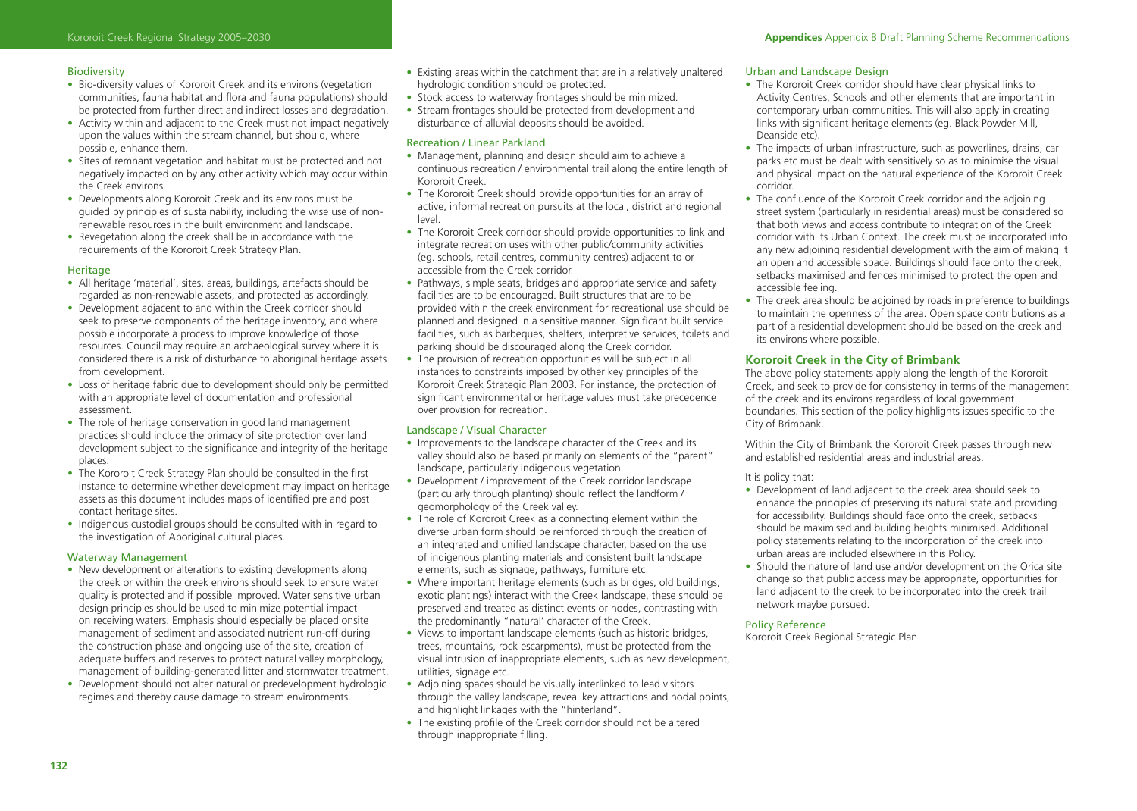# Biodiversity

- Bio-diversity values of Kororoit Creek and its environs (vegetation communities, fauna habitat and flora and fauna populations) should be protected from further direct and indirect losses and degradation.
- Activity within and adjacent to the Creek must not impact negatively upon the values within the stream channel, but should, where possible, enhance them.
- Sites of remnant vegetation and habitat must be protected and not negatively impacted on by any other activity which may occur within the Creek environs.
- Developments along Kororoit Creek and its environs must be guided by principles of sustainability, including the wise use of nonrenewable resources in the built environment and landscape.
- Revegetation along the creek shall be in accordance with the requirements of the Kororoit Creek Strategy Plan.

# Heritage

- All heritage 'material', sites, areas, buildings, artefacts should be regarded as non-renewable assets, and protected as accordingly.
- Development adjacent to and within the Creek corridor should seek to preserve components of the heritage inventory, and where possible incorporate a process to improve knowledge of those resources. Council may require an archaeological survey where it is considered there is a risk of disturbance to aboriginal heritage assets from development.
- Loss of heritage fabric due to development should only be permitted with an appropriate level of documentation and professional assessment.
- The role of heritage conservation in good land management practices should include the primacy of site protection over land development subject to the significance and integrity of the heritage places.
- The Kororoit Creek Strategy Plan should be consulted in the first instance to determine whether development may impact on heritage assets as this document includes maps of identified pre and post contact heritage sites.
- Indigenous custodial groups should be consulted with in regard to the investigation of Aboriginal cultural places.

## Waterway Management

- New development or alterations to existing developments along the creek or within the creek environs should seek to ensure water quality is protected and if possible improved. Water sensitive urban design principles should be used to minimize potential impact on receiving waters. Emphasis should especially be placed onsite management of sediment and associated nutrient run-off during the construction phase and ongoing use of the site, creation of adequate buffers and reserves to protect natural valley morphology, management of building-generated litter and stormwater treatment.
- Development should not alter natural or predevelopment hydrologic regimes and thereby cause damage to stream environments.
- Existing areas within the catchment that are in a relatively unaltered hydrologic condition should be protected.
- Stock access to waterway frontages should be minimized.
- Stream frontages should be protected from development and disturbance of alluvial deposits should be avoided.

# Recreation / Linear Parkland

- Management, planning and design should aim to achieve a continuous recreation / environmental trail along the entire length of Kororoit Creek.
- The Kororoit Creek should provide opportunities for an array of active, informal recreation pursuits at the local, district and regional level.
- The Kororoit Creek corridor should provide opportunities to link and integrate recreation uses with other public/community activities (eg. schools, retail centres, community centres) adjacent to or accessible from the Creek corridor.
- Pathways, simple seats, bridges and appropriate service and safety facilities are to be encouraged. Built structures that are to be provided within the creek environment for recreational use should be planned and designed in a sensitive manner. Significant built service facilities, such as barbeques, shelters, interpretive services, toilets and parking should be discouraged along the Creek corridor.
- The provision of recreation opportunities will be subject in all instances to constraints imposed by other key principles of the Kororoit Creek Strategic Plan 2003. For instance, the protection of significant environmental or heritage values must take precedence over provision for recreation.

# Landscape / Visual Character

- Improvements to the landscape character of the Creek and its valley should also be based primarily on elements of the "parent" landscape, particularly indigenous vegetation.
- Development / improvement of the Creek corridor landscape (particularly through planting) should reflect the landform / geomorphology of the Creek valley.
- The role of Kororoit Creek as a connecting element within the diverse urban form should be reinforced through the creation of an integrated and unified landscape character, based on the use of indigenous planting materials and consistent built landscape elements, such as signage, pathways, furniture etc.
- Where important heritage elements (such as bridges, old buildings, exotic plantings) interact with the Creek landscape, these should be preserved and treated as distinct events or nodes, contrasting with the predominantly "natural' character of the Creek.
- Views to important landscape elements (such as historic bridges, trees, mountains, rock escarpments), must be protected from the visual intrusion of inappropriate elements, such as new development, utilities, signage etc.
- Adjoining spaces should be visually interlinked to lead visitors through the valley landscape, reveal key attractions and nodal points, and highlight linkages with the "hinterland".
- The existing profile of the Creek corridor should not be altered through inappropriate filling.

# Urban and Landscape Design

- The Kororoit Creek corridor should have clear physical links to Activity Centres, Schools and other elements that are important in contemporary urban communities. This will also apply in creating links with significant heritage elements (eg. Black Powder Mill, Deanside etc)
- The impacts of urban infrastructure, such as powerlines, drains, car parks etc must be dealt with sensitively so as to minimise the visual and physical impact on the natural experience of the Kororoit Creek corridor.
- The confluence of the Kororoit Creek corridor and the adjoining street system (particularly in residential areas) must be considered so that both views and access contribute to integration of the Creek corridor with its Urban Context. The creek must be incorporated into any new adjoining residential development with the aim of making it an open and accessible space. Buildings should face onto the creek, setbacks maximised and fences minimised to protect the open and accessible feeling.
- The creek area should be adjoined by roads in preference to buildings to maintain the openness of the area. Open space contributions as a part of a residential development should be based on the creek and its environs where possible.

# **Kororoit Creek in the City of Brimbank**

The above policy statements apply along the length of the Kororoit Creek, and seek to provide for consistency in terms of the management of the creek and its environs regardless of local government boundaries. This section of the policy highlights issues specific to the City of Brimbank.

Within the City of Brimbank the Kororoit Creek passes through new and established residential areas and industrial areas.

# It is policy that:

- Development of land adjacent to the creek area should seek to enhance the principles of preserving its natural state and providing for accessibility. Buildings should face onto the creek, setbacks should be maximised and building heights minimised. Additional policy statements relating to the incorporation of the creek into urban areas are included elsewhere in this Policy.
- Should the nature of land use and/or development on the Orica site change so that public access may be appropriate, opportunities for land adjacent to the creek to be incorporated into the creek trail network maybe pursued.

#### Policy Reference

Kororoit Creek Regional Strategic Plan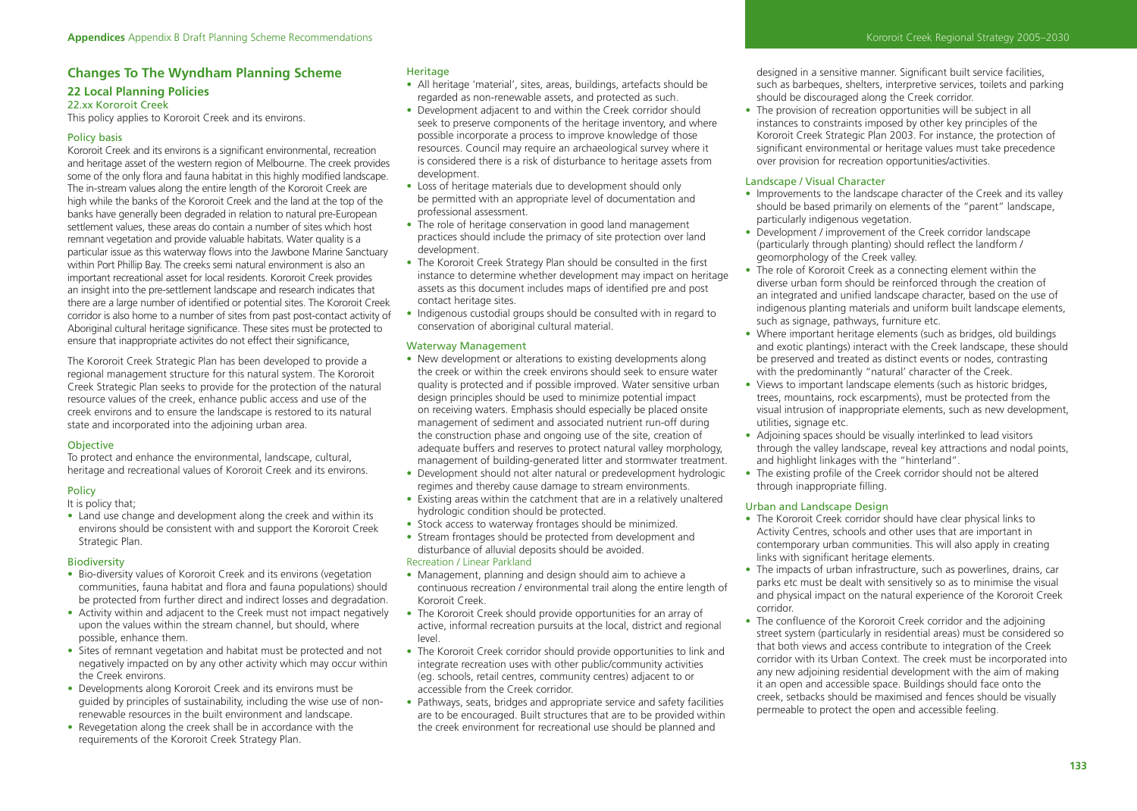# **Changes To The Wyndham Planning Scheme**

# **22 Local Planning Policies**  22.xx Kororoit Creek

This policy applies to Kororoit Creek and its environs.

# Policy basis

Kororoit Creek and its environs is a significant environmental, recreation and heritage asset of the western region of Melbourne. The creek provides some of the only flora and fauna habitat in this highly modified landscape. The in-stream values along the entire length of the Kororoit Creek are high while the banks of the Kororoit Creek and the land at the top of the banks have generally been degraded in relation to natural pre-European settlement values, these areas do contain a number of sites which host remnant vegetation and provide valuable habitats. Water quality is a particular issue as this waterway flows into the Jawbone Marine Sanctuary within Port Phillip Bay. The creeks semi natural environment is also an important recreational asset for local residents. Kororoit Creek provides an insight into the pre-settlement landscape and research indicates that there are a large number of identified or potential sites. The Kororoit Creek corridor is also home to a number of sites from past post-contact activity of Aboriginal cultural heritage significance. These sites must be protected to ensure that inappropriate activites do not effect their significance,

The Kororoit Creek Strategic Plan has been developed to provide a regional management structure for this natural system. The Kororoit Creek Strategic Plan seeks to provide for the protection of the natural resource values of the creek, enhance public access and use of the creek environs and to ensure the landscape is restored to its natural state and incorporated into the adjoining urban area.

# **Objective**

To protect and enhance the environmental, landscape, cultural, heritage and recreational values of Kororoit Creek and its environs.

# **Policy**

It is policy that;

• Land use change and development along the creek and within its environs should be consistent with and support the Kororoit Creek Strategic Plan.

# **Biodiversity**

- Bio-diversity values of Kororoit Creek and its environs (vegetation communities, fauna habitat and flora and fauna populations) should be protected from further direct and indirect losses and degradation.
- Activity within and adjacent to the Creek must not impact negatively upon the values within the stream channel, but should, where possible, enhance them.
- Sites of remnant vegetation and habitat must be protected and not negatively impacted on by any other activity which may occur within the Creek environs.
- Developments along Kororoit Creek and its environs must be guided by principles of sustainability, including the wise use of nonrenewable resources in the built environment and landscape.
- Revegetation along the creek shall be in accordance with the requirements of the Kororoit Creek Strategy Plan.

# **Heritage**

- All heritage 'material', sites, areas, buildings, artefacts should be regarded as non-renewable assets, and protected as such.
- Development adjacent to and within the Creek corridor should seek to preserve components of the heritage inventory, and where possible incorporate a process to improve knowledge of those resources. Council may require an archaeological survey where it is considered there is a risk of disturbance to heritage assets from development.
- Loss of heritage materials due to development should only be permitted with an appropriate level of documentation and professional assessment.
- The role of heritage conservation in good land management practices should include the primacy of site protection over land development.
- The Kororoit Creek Strategy Plan should be consulted in the first instance to determine whether development may impact on heritage assets as this document includes maps of identified pre and post contact heritage sites.
- Indigenous custodial groups should be consulted with in regard to conservation of aboriginal cultural material.

# Waterway Management

- New development or alterations to existing developments along the creek or within the creek environs should seek to ensure water quality is protected and if possible improved. Water sensitive urban design principles should be used to minimize potential impact on receiving waters. Emphasis should especially be placed onsite management of sediment and associated nutrient run-off during the construction phase and ongoing use of the site, creation of adequate buffers and reserves to protect natural valley morphology, management of building-generated litter and stormwater treatment.
- Development should not alter natural or predevelopment hydrologic regimes and thereby cause damage to stream environments.
- Existing areas within the catchment that are in a relatively unaltered hydrologic condition should be protected.
- Stock access to waterway frontages should be minimized.
- Stream frontages should be protected from development and disturbance of alluvial deposits should be avoided. Recreation / Linear Parkland
- Management, planning and design should aim to achieve a continuous recreation / environmental trail along the entire length of Kororoit Creek.
- The Kororoit Creek should provide opportunities for an array of active, informal recreation pursuits at the local, district and regional level.
- The Kororoit Creek corridor should provide opportunities to link and integrate recreation uses with other public/community activities (eg. schools, retail centres, community centres) adjacent to or accessible from the Creek corridor.
- Pathways, seats, bridges and appropriate service and safety facilities are to be encouraged. Built structures that are to be provided within the creek environment for recreational use should be planned and

designed in a sensitive manner. Significant built service facilities, such as barbeques, shelters, interpretive services, toilets and parking should be discouraged along the Creek corridor.

• The provision of recreation opportunities will be subject in all instances to constraints imposed by other key principles of the Kororoit Creek Strategic Plan 2003. For instance, the protection of significant environmental or heritage values must take precedence over provision for recreation opportunities/activities.

# Landscape / Visual Character

- Improvements to the landscape character of the Creek and its valley should be based primarily on elements of the "parent" landscape, particularly indigenous vegetation.
- Development / improvement of the Creek corridor landscape (particularly through planting) should reflect the landform / geomorphology of the Creek valley.
- The role of Kororoit Creek as a connecting element within the diverse urban form should be reinforced through the creation of an integrated and unified landscape character, based on the use of indigenous planting materials and uniform built landscape elements, such as signage, pathways, furniture etc.
- Where important heritage elements (such as bridges, old buildings and exotic plantings) interact with the Creek landscape, these should be preserved and treated as distinct events or nodes, contrasting with the predominantly "natural' character of the Creek.
- Views to important landscape elements (such as historic bridges, trees, mountains, rock escarpments), must be protected from the visual intrusion of inappropriate elements, such as new development, utilities, signage etc.
- Adjoining spaces should be visually interlinked to lead visitors through the valley landscape, reveal key attractions and nodal points, and highlight linkages with the "hinterland".
- The existing profile of the Creek corridor should not be altered through inappropriate filling.

# Urban and Landscape Design

- The Kororoit Creek corridor should have clear physical links to Activity Centres, schools and other uses that are important in contemporary urban communities. This will also apply in creating links with significant heritage elements.
- The impacts of urban infrastructure, such as powerlines, drains, car parks etc must be dealt with sensitively so as to minimise the visual and physical impact on the natural experience of the Kororoit Creek corridor.
- The confluence of the Kororoit Creek corridor and the adjoining street system (particularly in residential areas) must be considered so that both views and access contribute to integration of the Creek corridor with its Urban Context. The creek must be incorporated into any new adjoining residential development with the aim of making it an open and accessible space. Buildings should face onto the creek, setbacks should be maximised and fences should be visually permeable to protect the open and accessible feeling.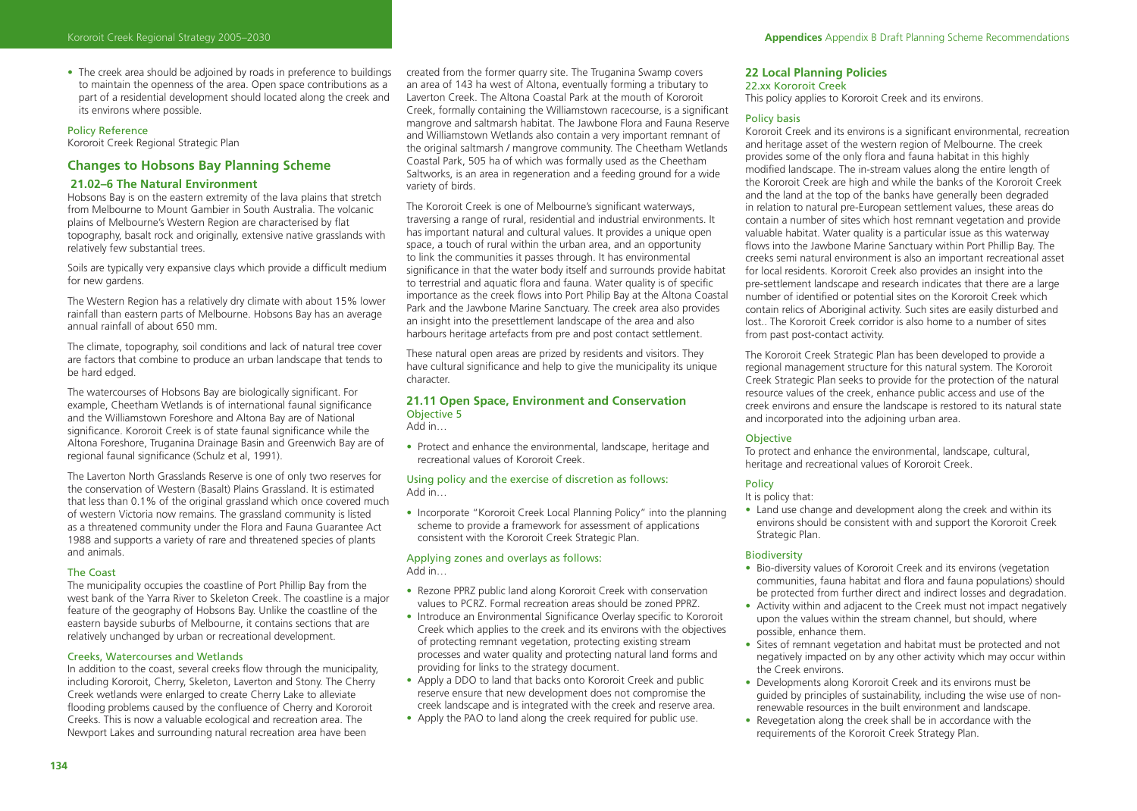• The creek area should be adjoined by roads in preference to buildings to maintain the openness of the area. Open space contributions as a part of a residential development should located along the creek and its environs where possible.

### Policy Reference

Kororoit Creek Regional Strategic Plan

# **Changes to Hobsons Bay Planning Scheme**

# **21.02–6 The Natural Environment**

Hobsons Bay is on the eastern extremity of the lava plains that stretch from Melbourne to Mount Gambier in South Australia. The volcanic plains of Melbourne's Western Region are characterised by flat topography, basalt rock and originally, extensive native grasslands with relatively few substantial trees.

Soils are typically very expansive clays which provide a difficult medium for new gardens.

The Western Region has a relatively dry climate with about 15% lower rainfall than eastern parts of Melbourne. Hobsons Bay has an average annual rainfall of about 650 mm.

The climate, topography, soil conditions and lack of natural tree cover are factors that combine to produce an urban landscape that tends to be hard edged.

The watercourses of Hobsons Bay are biologically significant. For example. Cheetham Wetlands is of international faunal significance and the Williamstown Foreshore and Altona Bay are of National significance. Kororoit Creek is of state faunal significance while the Altona Foreshore, Truganina Drainage Basin and Greenwich Bay are of regional faunal significance (Schulz et al, 1991).

The Laverton North Grasslands Reserve is one of only two reserves for the conservation of Western (Basalt) Plains Grassland. It is estimated that less than 0.1% of the original grassland which once covered much of western Victoria now remains. The grassland community is listed as a threatened community under the Flora and Fauna Guarantee Act 1988 and supports a variety of rare and threatened species of plants and animals.

# The Coast

The municipality occupies the coastline of Port Phillip Bay from the west bank of the Yarra River to Skeleton Creek. The coastline is a major feature of the geography of Hobsons Bay. Unlike the coastline of the eastern bayside suburbs of Melbourne, it contains sections that are relatively unchanged by urban or recreational development.

### Creeks, Watercourses and Wetlands

In addition to the coast, several creeks flow through the municipality, including Kororoit, Cherry, Skeleton, Laverton and Stony. The Cherry Creek wetlands were enlarged to create Cherry Lake to alleviate flooding problems caused by the confluence of Cherry and Kororoit Creeks. This is now a valuable ecological and recreation area. The Newport Lakes and surrounding natural recreation area have been

created from the former quarry site. The Truganina Swamp covers an area of 143 ha west of Altona, eventually forming a tributary to Laverton Creek. The Altona Coastal Park at the mouth of Kororoit Creek, formally containing the Williamstown racecourse, is a significant mangrove and saltmarsh habitat. The Jawbone Flora and Fauna Reserve and Williamstown Wetlands also contain a very important remnant of the original saltmarsh / mangrove community. The Cheetham Wetlands Coastal Park, 505 ha of which was formally used as the Cheetham Saltworks, is an area in regeneration and a feeding ground for a wide variety of birds.

The Kororoit Creek is one of Melbourne's significant waterways, traversing a range of rural, residential and industrial environments. It has important natural and cultural values. It provides a unique open space, a touch of rural within the urban area, and an opportunity to link the communities it passes through. It has environmental significance in that the water body itself and surrounds provide habitat to terrestrial and aquatic flora and fauna. Water quality is of specific importance as the creek flows into Port Philip Bay at the Altona Coastal Park and the Jawbone Marine Sanctuary. The creek area also provides an insight into the presettlement landscape of the area and also harbours heritage artefacts from pre and post contact settlement.

These natural open areas are prized by residents and visitors. They have cultural significance and help to give the municipality its unique character.

# **21.11 Open Space, Environment and Conservation** Objective 5

Add in…

• Protect and enhance the environmental, landscape, heritage and recreational values of Kororoit Creek.

Using policy and the exercise of discretion as follows: Add in…

• Incorporate "Kororoit Creek Local Planning Policy" into the planning scheme to provide a framework for assessment of applications consistent with the Kororoit Creek Strategic Plan.

# Applying zones and overlays as follows: Add in…

- Rezone PPRZ public land along Kororoit Creek with conservation values to PCRZ. Formal recreation areas should be zoned PPRZ.
- Introduce an Environmental Significance Overlay specific to Kororoit Creek which applies to the creek and its environs with the objectives of protecting remnant vegetation, protecting existing stream processes and water quality and protecting natural land forms and providing for links to the strategy document.
- Apply a DDO to land that backs onto Kororoit Creek and public reserve ensure that new development does not compromise the creek landscape and is integrated with the creek and reserve area.
- Apply the PAO to land along the creek required for public use.

#### **22 Local Planning Policies**

22.xx Kororoit Creek

This policy applies to Kororoit Creek and its environs.

# Policy basis

Kororoit Creek and its environs is a significant environmental, recreation and heritage asset of the western region of Melbourne. The creek provides some of the only flora and fauna habitat in this highly modified landscape. The in-stream values along the entire length of the Kororoit Creek are high and while the banks of the Kororoit Creek and the land at the top of the banks have generally been degraded in relation to natural pre-European settlement values, these areas do contain a number of sites which host remnant vegetation and provide valuable habitat. Water quality is a particular issue as this waterway flows into the Jawbone Marine Sanctuary within Port Phillip Bay. The creeks semi natural environment is also an important recreational asset for local residents. Kororoit Creek also provides an insight into the pre-settlement landscape and research indicates that there are a large number of identified or potential sites on the Kororoit Creek which contain relics of Aboriginal activity. Such sites are easily disturbed and lost.. The Kororoit Creek corridor is also home to a number of sites from past post-contact activity.

The Kororoit Creek Strategic Plan has been developed to provide a regional management structure for this natural system. The Kororoit Creek Strategic Plan seeks to provide for the protection of the natural resource values of the creek, enhance public access and use of the creek environs and ensure the landscape is restored to its natural state and incorporated into the adjoining urban area.

# **Objective**

To protect and enhance the environmental, landscape, cultural, heritage and recreational values of Kororoit Creek.

# Policy

It is policy that:

• Land use change and development along the creek and within its environs should be consistent with and support the Kororoit Creek Strategic Plan.

#### Biodiversity

- Bio-diversity values of Kororoit Creek and its environs (vegetation communities, fauna habitat and flora and fauna populations) should be protected from further direct and indirect losses and degradation.
- Activity within and adjacent to the Creek must not impact negatively upon the values within the stream channel, but should, where possible, enhance them.
- Sites of remnant vegetation and habitat must be protected and not negatively impacted on by any other activity which may occur within the Creek environs.
- Developments along Kororoit Creek and its environs must be guided by principles of sustainability, including the wise use of nonrenewable resources in the built environment and landscape.
- Revegetation along the creek shall be in accordance with the requirements of the Kororoit Creek Strategy Plan.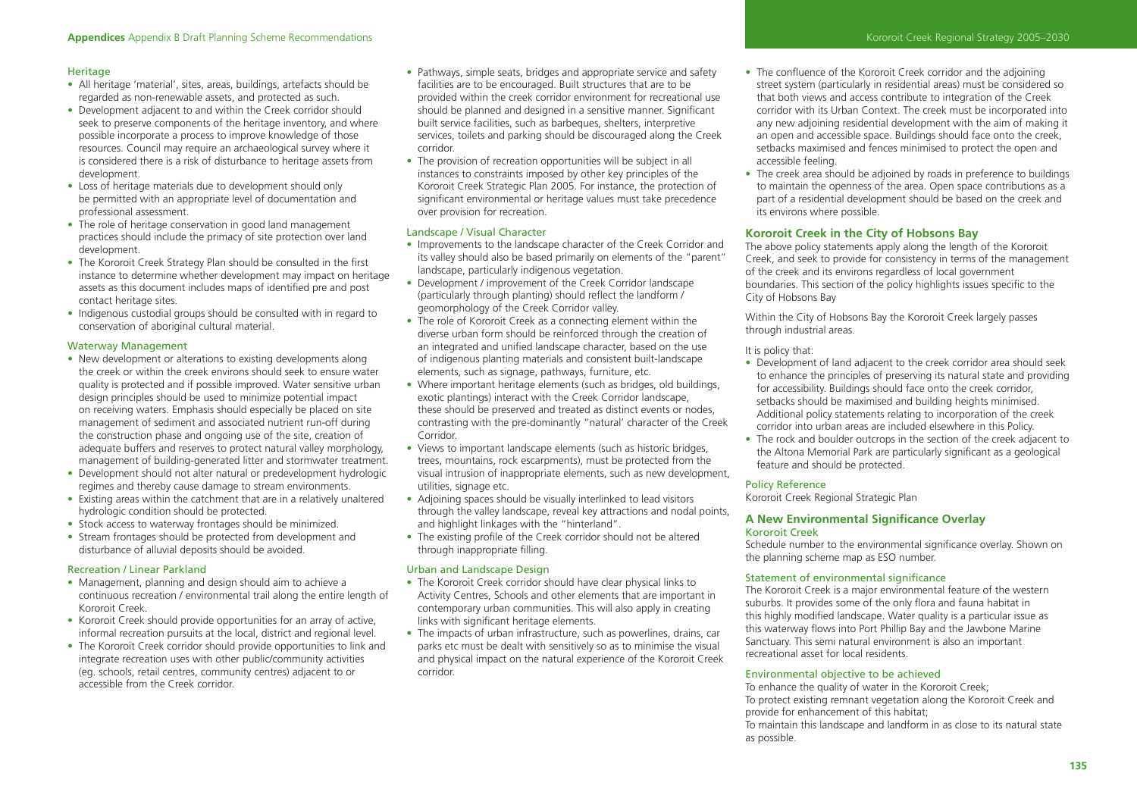# **Heritage**

- All heritage 'material', sites, areas, buildings, artefacts should be regarded as non-renewable assets, and protected as such.
- Development adjacent to and within the Creek corridor should seek to preserve components of the heritage inventory, and where possible incorporate a process to improve knowledge of those resources. Council may require an archaeological survey where it is considered there is a risk of disturbance to heritage assets from development.
- Loss of heritage materials due to development should only be permitted with an appropriate level of documentation and professional assessment.
- The role of heritage conservation in good land management practices should include the primacy of site protection over land development.
- The Kororoit Creek Strategy Plan should be consulted in the first instance to determine whether development may impact on heritage assets as this document includes maps of identified pre and post contact heritage sites.
- Indigenous custodial groups should be consulted with in regard to conservation of aboriginal cultural material.

# Waterway Management

- New development or alterations to existing developments along the creek or within the creek environs should seek to ensure water quality is protected and if possible improved. Water sensitive urban design principles should be used to minimize potential impact on receiving waters. Emphasis should especially be placed on site management of sediment and associated nutrient run-off during the construction phase and ongoing use of the site, creation of adequate buffers and reserves to protect natural valley morphology, management of building-generated litter and stormwater treatment.
- Development should not alter natural or predevelopment hydrologic regimes and thereby cause damage to stream environments.
- Existing areas within the catchment that are in a relatively unaltered hydrologic condition should be protected.
- Stock access to waterway frontages should be minimized.
- Stream frontages should be protected from development and disturbance of alluvial deposits should be avoided.

# Recreation / Linear Parkland

- Management, planning and design should aim to achieve a continuous recreation / environmental trail along the entire length of Kororoit Creek.
- Kororoit Creek should provide opportunities for an array of active, informal recreation pursuits at the local, district and regional level.
- The Kororoit Creek corridor should provide opportunities to link and integrate recreation uses with other public/community activities (eg. schools, retail centres, community centres) adjacent to or accessible from the Creek corridor.
- Pathways, simple seats, bridges and appropriate service and safety facilities are to be encouraged. Built structures that are to be provided within the creek corridor environment for recreational use should be planned and designed in a sensitive manner. Significant built service facilities, such as barbeques, shelters, interpretive services, toilets and parking should be discouraged along the Creek corridor.
- The provision of recreation opportunities will be subject in all instances to constraints imposed by other key principles of the Kororoit Creek Strategic Plan 2005. For instance, the protection of significant environmental or heritage values must take precedence over provision for recreation.

# Landscape / Visual Character

- Improvements to the landscape character of the Creek Corridor and its valley should also be based primarily on elements of the "parent" landscape, particularly indigenous vegetation.
- Development / improvement of the Creek Corridor landscape (particularly through planting) should reflect the landform / geomorphology of the Creek Corridor valley.
- The role of Kororoit Creek as a connecting element within the diverse urban form should be reinforced through the creation of an integrated and unified landscape character, based on the use of indigenous planting materials and consistent built-landscape elements, such as signage, pathways, furniture, etc.
- Where important heritage elements (such as bridges, old buildings, exotic plantings) interact with the Creek Corridor landscape, these should be preserved and treated as distinct events or nodes, contrasting with the pre-dominantly "natural' character of the Creek Corridor.
- Views to important landscape elements (such as historic bridges, trees, mountains, rock escarpments), must be protected from the visual intrusion of inappropriate elements, such as new development, utilities, signage etc.
- Adjoining spaces should be visually interlinked to lead visitors through the valley landscape, reveal key attractions and nodal points, and highlight linkages with the "hinterland".
- The existing profile of the Creek corridor should not be altered through inappropriate filling.

# Urban and Landscape Design

- The Kororoit Creek corridor should have clear physical links to Activity Centres, Schools and other elements that are important in contemporary urban communities. This will also apply in creating links with significant heritage elements.
- The impacts of urban infrastructure, such as powerlines, drains, car parks etc must be dealt with sensitively so as to minimise the visual and physical impact on the natural experience of the Kororoit Creek corridor.
- The confluence of the Kororoit Creek corridor and the adjoining street system (particularly in residential areas) must be considered so that both views and access contribute to integration of the Creek corridor with its Urban Context. The creek must be incorporated into any new adjoining residential development with the aim of making it an open and accessible space. Buildings should face onto the creek, setbacks maximised and fences minimised to protect the open and accessible feeling.
- The creek area should be adjoined by roads in preference to buildings to maintain the openness of the area. Open space contributions as a part of a residential development should be based on the creek and its environs where possible.

# **Kororoit Creek in the City of Hobsons Bay**

The above policy statements apply along the length of the Kororoit Creek, and seek to provide for consistency in terms of the management of the creek and its environs regardless of local government boundaries. This section of the policy highlights issues specific to the City of Hobsons Bay

Within the City of Hobsons Bay the Kororoit Creek largely passes through industrial areas.

# It is policy that:

- Development of land adjacent to the creek corridor area should seek to enhance the principles of preserving its natural state and providing for accessibility. Buildings should face onto the creek corridor, setbacks should be maximised and building heights minimised. Additional policy statements relating to incorporation of the creek corridor into urban areas are included elsewhere in this Policy.
- The rock and boulder outcrops in the section of the creek adjacent to the Altona Memorial Park are particularly significant as a geological feature and should be protected.

# Policy Reference

as possible.

Kororoit Creek Regional Strategic Plan

# **A New Environmental Significance Overlay** Kororoit Creek

Schedule number to the environmental significance overlay. Shown on the planning scheme map as ESO number.

# Statement of environmental significance

The Kororoit Creek is a major environmental feature of the western suburbs. It provides some of the only flora and fauna habitat in this highly modified landscape. Water quality is a particular issue as this waterway flows into Port Phillip Bay and the Jawbone Marine Sanctuary. This semi natural environment is also an important recreational asset for local residents.

#### Environmental objective to be achieved

To enhance the quality of water in the Kororoit Creek; To protect existing remnant vegetation along the Kororoit Creek and provide for enhancement of this habitat; To maintain this landscape and landform in as close to its natural state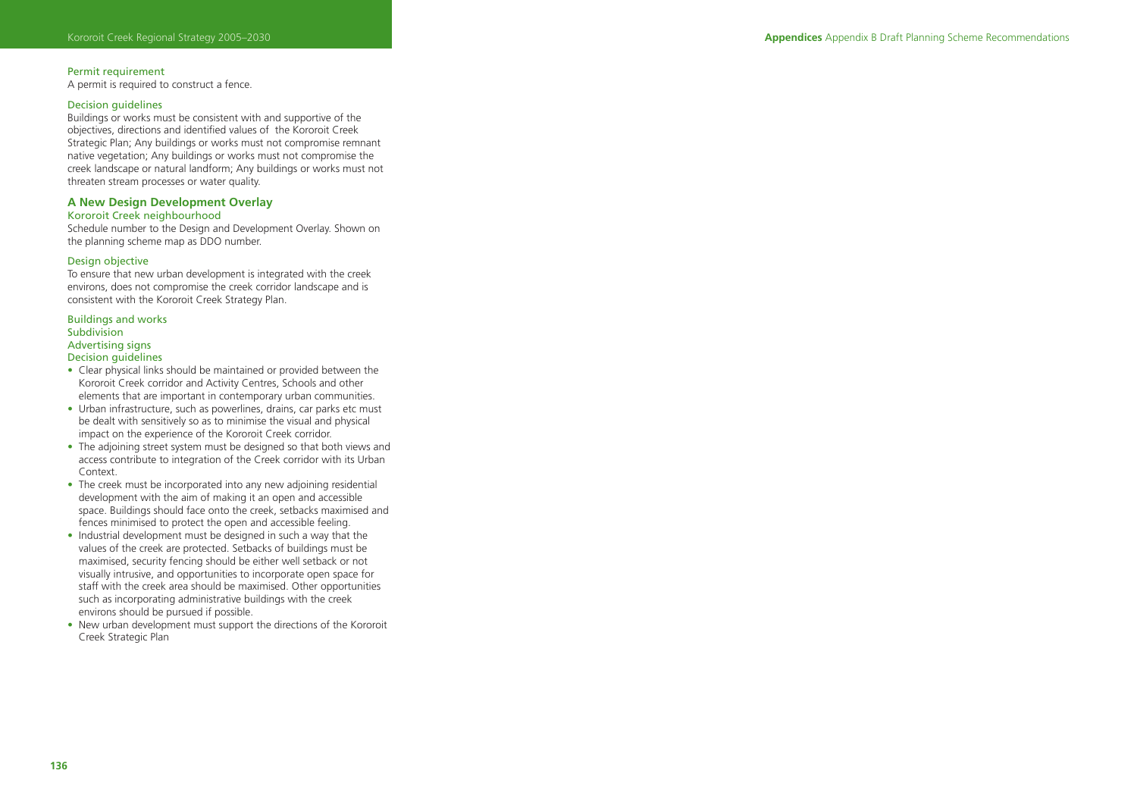# Permit requirement

A permit is required to construct a fence.

# Decision guidelines

Buildings or works must be consistent with and supportive of the objectives, directions and identified values of the Kororoit Creek Strategic Plan; Any buildings or works must not compromise remnant native vegetation; Any buildings or works must not compromise the creek landscape or natural landform; Any buildings or works must not threaten stream processes or water quality.

# **A New Design Development Overlay**

# Kororoit Creek neighbourhood

Schedule number to the Design and Development Overlay. Shown on the planning scheme map as DDO number.

# Design objective

To ensure that new urban development is integrated with the creek environs, does not compromise the creek corridor landscape and is consistent with the Kororoit Creek Strategy Plan.

#### Buildings and works **Subdivision** Advertising signs

#### Decision guidelines

- Clear physical links should be maintained or provided between the Kororoit Creek corridor and Activity Centres, Schools and other elements that are important in contemporary urban communities.
- Urban infrastructure, such as powerlines, drains, car parks etc must be dealt with sensitively so as to minimise the visual and physical impact on the experience of the Kororoit Creek corridor.
- The adjoining street system must be designed so that both views and access contribute to integration of the Creek corridor with its Urban Context.
- The creek must be incorporated into any new adjoining residential development with the aim of making it an open and accessible space. Buildings should face onto the creek, setbacks maximised and fences minimised to protect the open and accessible feeling.
- Industrial development must be designed in such a way that the values of the creek are protected. Setbacks of buildings must be maximised, security fencing should be either well setback or not visually intrusive, and opportunities to incorporate open space for staff with the creek area should be maximised. Other opportunities such as incorporating administrative buildings with the creek environs should be pursued if possible.
- New urban development must support the directions of the Kororoit Creek Strategic Plan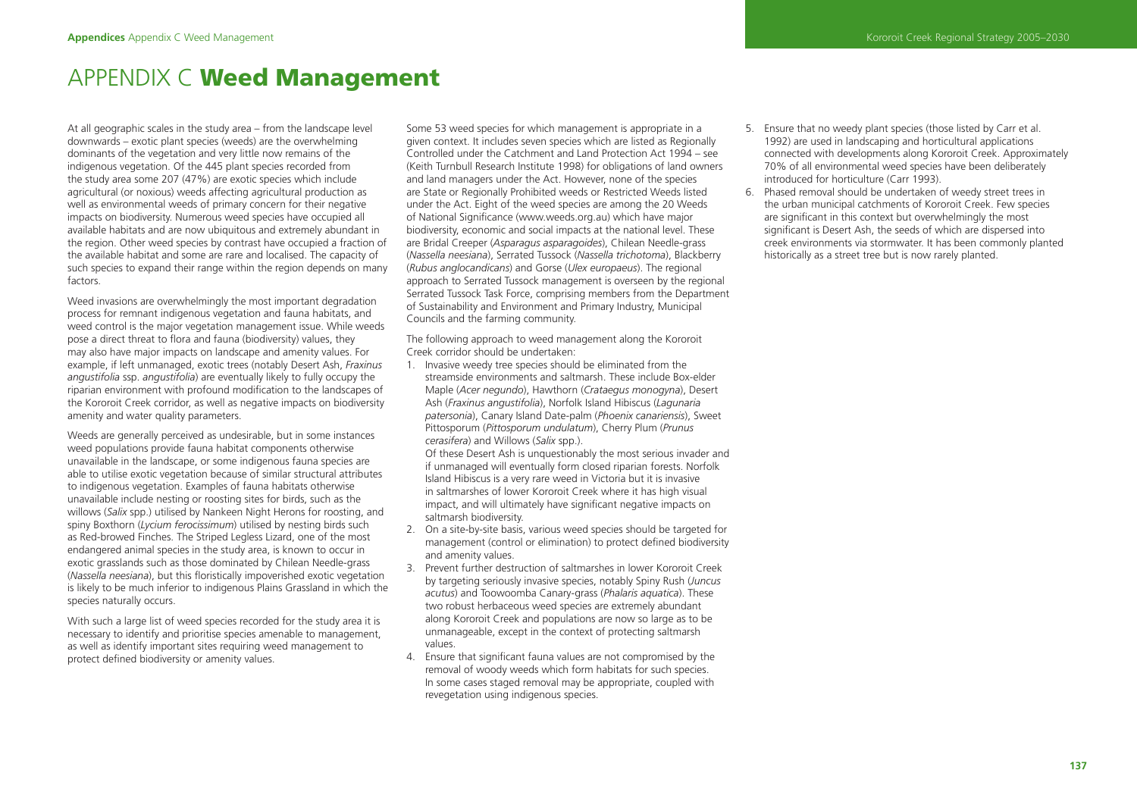# APPENDIX C **Weed Management**

At all geographic scales in the study area – from the landscape level downwards – exotic plant species (weeds) are the overwhelming dominants of the vegetation and very little now remains of the indigenous vegetation. Of the 445 plant species recorded from the study area some 207 (47%) are exotic species which include agricultural (or noxious) weeds affecting agricultural production as well as environmental weeds of primary concern for their negative impacts on biodiversity. Numerous weed species have occupied all available habitats and are now ubiquitous and extremely abundant in the region. Other weed species by contrast have occupied a fraction of the available habitat and some are rare and localised. The capacity of such species to expand their range within the region depends on many factors.

Weed invasions are overwhelmingly the most important degradation process for remnant indigenous vegetation and fauna habitats, and weed control is the major vegetation management issue. While weeds pose a direct threat to flora and fauna (biodiversity) values, they may also have major impacts on landscape and amenity values. For example, if left unmanaged, exotic trees (notably Desert Ash, *Fraxinus angustifolia* ssp. *angustifolia*) are eventually likely to fully occupy the riparian environment with profound modification to the landscapes of the Kororoit Creek corridor, as well as negative impacts on biodiversity amenity and water quality parameters.

Weeds are generally perceived as undesirable, but in some instances weed populations provide fauna habitat components otherwise unavailable in the landscape, or some indigenous fauna species are able to utilise exotic vegetation because of similar structural attributes to indigenous vegetation. Examples of fauna habitats otherwise unavailable include nesting or roosting sites for birds, such as the willows (*Salix* spp.) utilised by Nankeen Night Herons for roosting, and spiny Boxthorn (*Lycium ferocissimum*) utilised by nesting birds such as Red-browed Finches. The Striped Legless Lizard, one of the most endangered animal species in the study area, is known to occur in exotic grasslands such as those dominated by Chilean Needle-grass (*Nassella neesiana*), but this floristically impoverished exotic vegetation is likely to be much inferior to indigenous Plains Grassland in which the species naturally occurs.

With such a large list of weed species recorded for the study area it is necessary to identify and prioritise species amenable to management, as well as identify important sites requiring weed management to protect defined biodiversity or amenity values.

Some 53 weed species for which management is appropriate in a given context. It includes seven species which are listed as Regionally Controlled under the Catchment and Land Protection Act 1994 – see (Keith Turnbull Research Institute 1998) for obligations of land owners and land managers under the Act. However, none of the species are State or Regionally Prohibited weeds or Restricted Weeds listed under the Act. Eight of the weed species are among the 20 Weeds of National Significance (www.weeds.org.au) which have major biodiversity, economic and social impacts at the national level. These are Bridal Creeper (*Asparagus asparagoides*), Chilean Needle-grass (*Nassella neesiana*), Serrated Tussock (*Nassella trichotoma*), Blackberry (*Rubus anglocandicans*) and Gorse (*Ulex europaeus*). The regional approach to Serrated Tussock management is overseen by the regional Serrated Tussock Task Force, comprising members from the Department of Sustainability and Environment and Primary Industry, Municipal Councils and the farming community.

The following approach to weed management along the Kororoit Creek corridor should be undertaken:

1. Invasive weedy tree species should be eliminated from the streamside environments and saltmarsh. These include Box-elder Maple (*Acer negundo*), Hawthorn (*Crataegus monogyna*), Desert Ash (*Fraxinus angustifolia*), Norfolk Island Hibiscus (*Lagunaria patersonia*), Canary Island Date-palm (*Phoenix canariensis*), Sweet Pittosporum (*Pittosporum undulatum*), Cherry Plum (*Prunus cerasifera*) and Willows (*Salix* spp.).

 Of these Desert Ash is unquestionably the most serious invader and if unmanaged will eventually form closed riparian forests. Norfolk Island Hibiscus is a very rare weed in Victoria but it is invasive in saltmarshes of lower Kororoit Creek where it has high visual impact, and will ultimately have significant negative impacts on saltmarsh biodiversity.

- 2. On a site-by-site basis, various weed species should be targeted for management (control or elimination) to protect defined biodiversity and amenity values.
- 3. Prevent further destruction of saltmarshes in lower Kororoit Creek by targeting seriously invasive species, notably Spiny Rush (*Juncus acutus*) and Toowoomba Canary-grass (*Phalaris aquatica*). These two robust herbaceous weed species are extremely abundant along Kororoit Creek and populations are now so large as to be unmanageable, except in the context of protecting saltmarsh values.
- 4. Ensure that significant fauna values are not compromised by the removal of woody weeds which form habitats for such species. In some cases staged removal may be appropriate, coupled with revegetation using indigenous species.
- 5. Ensure that no weedy plant species (those listed by Carr et al. 1992) are used in landscaping and horticultural applications connected with developments along Kororoit Creek. Approximately 70% of all environmental weed species have been deliberately introduced for horticulture (Carr 1993).
- 6. Phased removal should be undertaken of weedy street trees in the urban municipal catchments of Kororoit Creek. Few species are significant in this context but overwhelmingly the most significant is Desert Ash, the seeds of which are dispersed into creek environments via stormwater. It has been commonly planted historically as a street tree but is now rarely planted.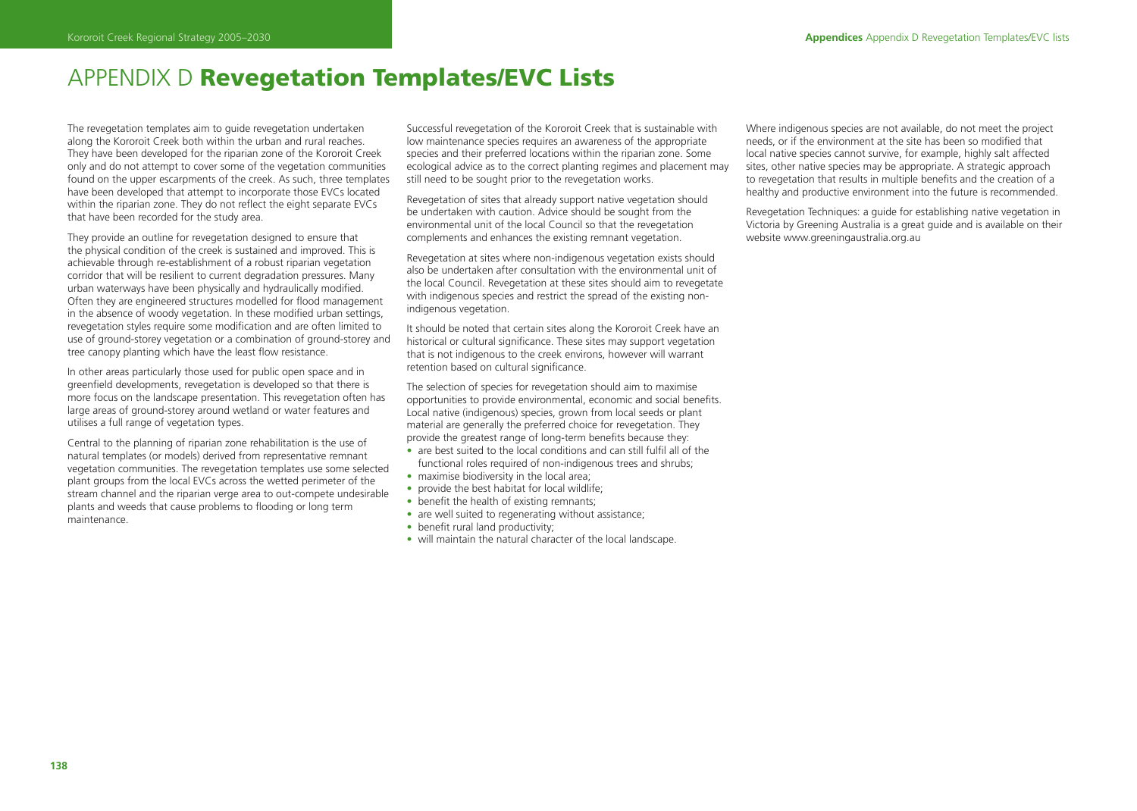# APPENDIX D **Revegetation Templates/EVC Lists**

The revegetation templates aim to guide revegetation undertaken along the Kororoit Creek both within the urban and rural reaches. They have been developed for the riparian zone of the Kororoit Creek only and do not attempt to cover some of the vegetation communities found on the upper escarpments of the creek. As such, three templates have been developed that attempt to incorporate those EVCs located within the riparian zone. They do not reflect the eight separate EVCs that have been recorded for the study area.

They provide an outline for revegetation designed to ensure that the physical condition of the creek is sustained and improved. This is achievable through re-establishment of a robust riparian vegetation corridor that will be resilient to current degradation pressures. Many urban waterways have been physically and hydraulically modified. Often they are engineered structures modelled for flood management in the absence of woody vegetation. In these modified urban settings, revegetation styles require some modification and are often limited to use of ground-storey vegetation or a combination of ground-storey and tree canopy planting which have the least flow resistance.

In other areas particularly those used for public open space and in greenfield developments, revegetation is developed so that there is more focus on the landscape presentation. This revegetation often has large areas of ground-storey around wetland or water features and utilises a full range of vegetation types.

Central to the planning of riparian zone rehabilitation is the use of natural templates (or models) derived from representative remnant vegetation communities. The revegetation templates use some selected plant groups from the local EVCs across the wetted perimeter of the stream channel and the riparian verge area to out-compete undesirable plants and weeds that cause problems to flooding or long term maintenance.

Successful revegetation of the Kororoit Creek that is sustainable with low maintenance species requires an awareness of the appropriate species and their preferred locations within the riparian zone. Some ecological advice as to the correct planting regimes and placement may still need to be sought prior to the revegetation works.

Revegetation of sites that already support native vegetation should be undertaken with caution. Advice should be sought from the environmental unit of the local Council so that the revegetation complements and enhances the existing remnant vegetation.

Revegetation at sites where non-indigenous vegetation exists should also be undertaken after consultation with the environmental unit of the local Council. Revegetation at these sites should aim to revegetate with indigenous species and restrict the spread of the existing nonindigenous vegetation.

It should be noted that certain sites along the Kororoit Creek have an historical or cultural significance. These sites may support vegetation that is not indigenous to the creek environs, however will warrant retention based on cultural significance.

The selection of species for revegetation should aim to maximise opportunities to provide environmental, economic and social benefits. Local native (indigenous) species, grown from local seeds or plant material are generally the preferred choice for revegetation. They provide the greatest range of long-term benefits because they:

- are best suited to the local conditions and can still fulfil all of the functional roles required of non-indigenous trees and shrubs;
- maximise biodiversity in the local area:
- provide the best habitat for local wildlife;
- benefit the health of existing remnants:
- are well suited to regenerating without assistance;
- benefit rural land productivity:
- will maintain the natural character of the local landscape.

Where indigenous species are not available, do not meet the project needs, or if the environment at the site has been so modified that local native species cannot survive, for example, highly salt affected sites, other native species may be appropriate. A strategic approach to revegetation that results in multiple benefits and the creation of a healthy and productive environment into the future is recommended.

Revegetation Techniques: a guide for establishing native vegetation in Victoria by Greening Australia is a great guide and is available on their website www.greeningaustralia.org.au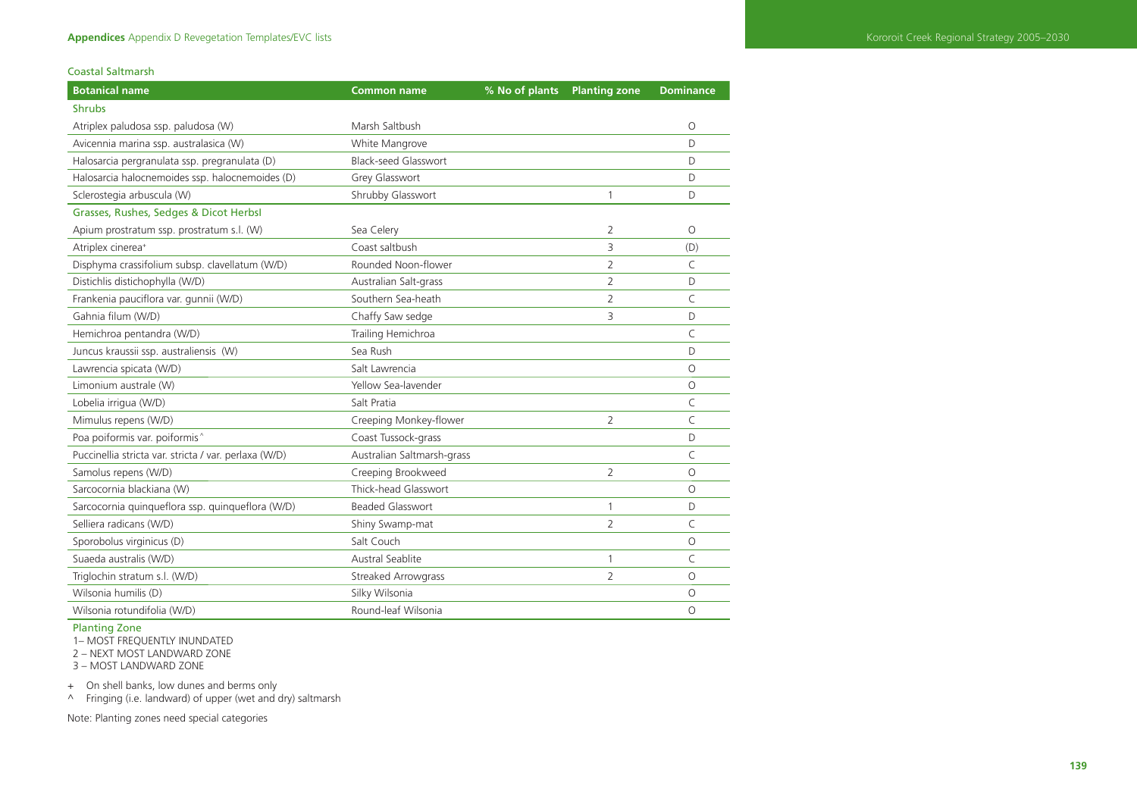Coastal Saltmarsh

| <b>Botanical name</b>                                 | <b>Common name</b>          | % No of plants | <b>Planting zone</b> | <b>Dominance</b> |
|-------------------------------------------------------|-----------------------------|----------------|----------------------|------------------|
| <b>Shrubs</b>                                         |                             |                |                      |                  |
| Atriplex paludosa ssp. paludosa (W)                   | Marsh Saltbush              |                |                      | $\circ$          |
| Avicennia marina ssp. australasica (W)                | White Mangrove              |                |                      | D                |
| Halosarcia pergranulata ssp. pregranulata (D)         | <b>Black-seed Glasswort</b> |                |                      | D                |
| Halosarcia halocnemoides ssp. halocnemoides (D)       | Grey Glasswort              |                |                      | D                |
| Sclerostegia arbuscula (W)                            | Shrubby Glasswort           |                | $\mathbf{1}$         | D                |
| Grasses, Rushes, Sedges & Dicot Herbsl                |                             |                |                      |                  |
| Apium prostratum ssp. prostratum s.l. (W)             | Sea Celery                  |                | 2                    | $\Omega$         |
| Atriplex cinerea <sup>+</sup>                         | Coast saltbush              |                | 3                    | (D)              |
| Disphyma crassifolium subsp. clavellatum (W/D)        | Rounded Noon-flower         |                | $\overline{2}$       | C                |
| Distichlis distichophylla (W/D)                       | Australian Salt-grass       |                | $\overline{2}$       | D                |
| Frankenia pauciflora var. gunnii (W/D)                | Southern Sea-heath          |                | 2                    | C                |
| Gahnia filum (W/D)                                    | Chaffy Saw sedge            |                | 3                    | D                |
| Hemichroa pentandra (W/D)                             | Trailing Hemichroa          |                |                      | C                |
| Juncus kraussii ssp. australiensis (W)                | Sea Rush                    |                |                      | D                |
| Lawrencia spicata (W/D)                               | Salt Lawrencia              |                |                      | $\circ$          |
| Limonium australe (W)                                 | Yellow Sea-lavender         |                |                      | $\circ$          |
| Lobelia irrigua (W/D)                                 | Salt Pratia                 |                |                      | C                |
| Mimulus repens (W/D)                                  | Creeping Monkey-flower      |                | 2                    | C                |
| Poa poiformis var. poiformis^                         | Coast Tussock-grass         |                |                      | D                |
| Puccinellia stricta var. stricta / var. perlaxa (W/D) | Australian Saltmarsh-grass  |                |                      | C                |
| Samolus repens (W/D)                                  | Creeping Brookweed          |                | $\overline{2}$       | $\circ$          |
| Sarcocornia blackiana (W)                             | Thick-head Glasswort        |                |                      | $\circ$          |
| Sarcocornia quinqueflora ssp. quinqueflora (W/D)      | <b>Beaded Glasswort</b>     |                | 1                    | D                |
| Selliera radicans (W/D)                               | Shiny Swamp-mat             |                | $\overline{2}$       | C                |
| Sporobolus virginicus (D)                             | Salt Couch                  |                |                      | $\circ$          |
| Suaeda australis (W/D)                                | Austral Seablite            |                | $\mathbf{1}$         | C                |
| Triglochin stratum s.l. (W/D)                         | Streaked Arrowgrass         |                | $\overline{2}$       | $\circ$          |
| Wilsonia humilis (D)                                  | Silky Wilsonia              |                |                      | $\circ$          |
| Wilsonia rotundifolia (W/D)                           | Round-leaf Wilsonia         |                |                      | $\circ$          |

Planting Zone

1– MOST FREQUENTLY INUNDATED 2 – NEXT MOST LANDWARD ZONE

3 – MOST LANDWARD ZONE

+ On shell banks, low dunes and berms only

^ Fringing (i.e. landward) of upper (wet and dry) saltmarsh

Note: Planting zones need special categories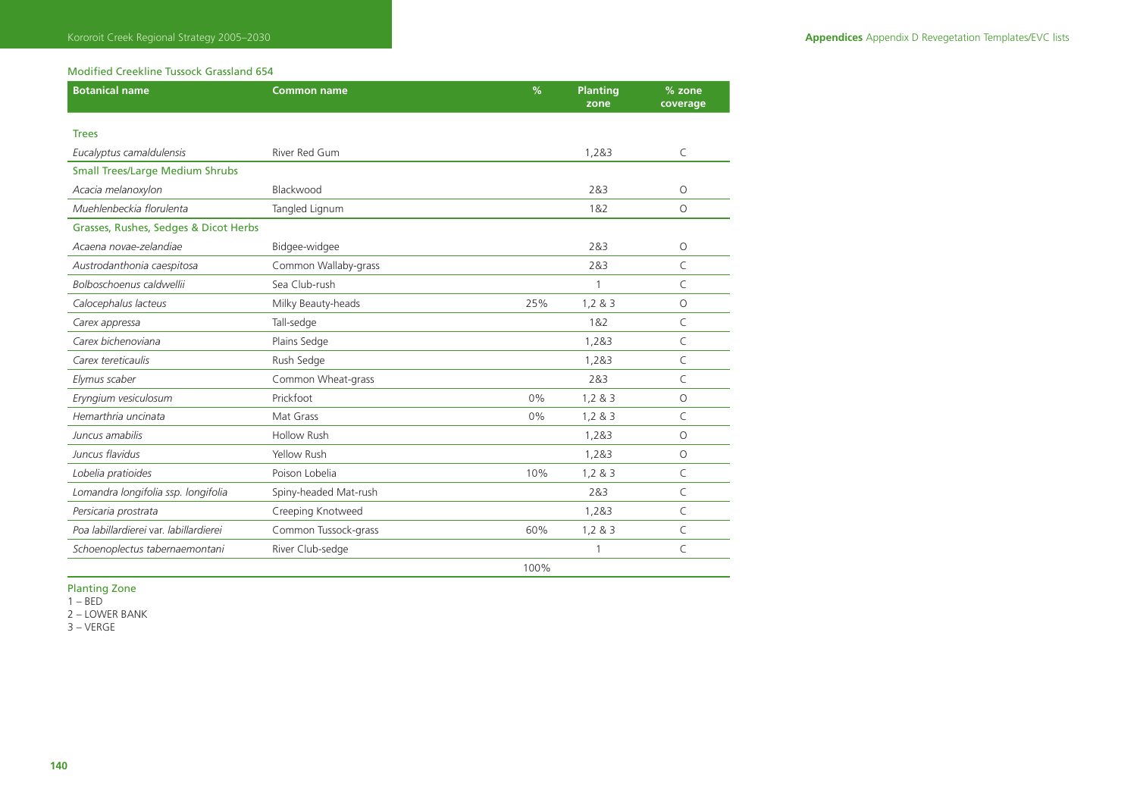# Modified Creekline Tussock Grassland 654

| <b>Botanical name</b>                  | <b>Common name</b>    | %     | <b>Planting</b><br>zone | % zone<br>coverage |
|----------------------------------------|-----------------------|-------|-------------------------|--------------------|
|                                        |                       |       |                         |                    |
| <b>Trees</b>                           |                       |       |                         |                    |
| Eucalyptus camaldulensis               | River Red Gum         |       | 1,2&3                   | $\mathsf{C}$       |
| <b>Small Trees/Large Medium Shrubs</b> |                       |       |                         |                    |
| Acacia melanoxylon                     | Blackwood             |       | 2&3                     | $\circ$            |
| Muehlenbeckia florulenta               | Tangled Lignum        |       | 1&2                     | $\Omega$           |
| Grasses, Rushes, Sedges & Dicot Herbs  |                       |       |                         |                    |
| Acaena novae-zelandiae                 | Bidgee-widgee         |       | 2&3                     | $\circ$            |
| Austrodanthonia caespitosa             | Common Wallaby-grass  |       | 2&3                     | $\mathsf{C}$       |
| Bolboschoenus caldwellii               | Sea Club-rush         |       | 1                       | C                  |
| Calocephalus lacteus                   | Milky Beauty-heads    | 25%   | 1,283                   | $\circ$            |
| Carex appressa                         | Tall-sedge            |       | 1&2                     | $\subset$          |
| Carex bichenoviana                     | Plains Sedge          |       | 1,2&3                   | C                  |
| Carex tereticaulis                     | Rush Sedge            |       | 1,2&3                   | C                  |
| Elymus scaber                          | Common Wheat-grass    |       | 2&3                     | C                  |
| Eryngium vesiculosum                   | Prickfoot             | $0\%$ | 1,283                   | $\circ$            |
| Hemarthria uncinata                    | Mat Grass             | 0%    | 1,2 & 3                 | C                  |
| Juncus amabilis                        | <b>Hollow Rush</b>    |       | 1,2&3                   | $\circ$            |
| Juncus flavidus                        | Yellow Rush           |       | 1.2&3                   | $\circ$            |
| Lobelia pratioides                     | Poison Lobelia        | 10%   | 1,2 & 3                 | C                  |
| Lomandra longifolia ssp. longifolia    | Spiny-headed Mat-rush |       | 2&3                     | C                  |
| Persicaria prostrata                   | Creeping Knotweed     |       | 1,2&3                   | C                  |
| Poa labillardierei var. labillardierei | Common Tussock-grass  | 60%   | 1,283                   | C                  |
| Schoenoplectus tabernaemontani         | River Club-sedge      |       | 1                       | C                  |
|                                        |                       | 100%  |                         |                    |

Planting Zone

1 – BED

2 – LOWER BANK

3 – VERGE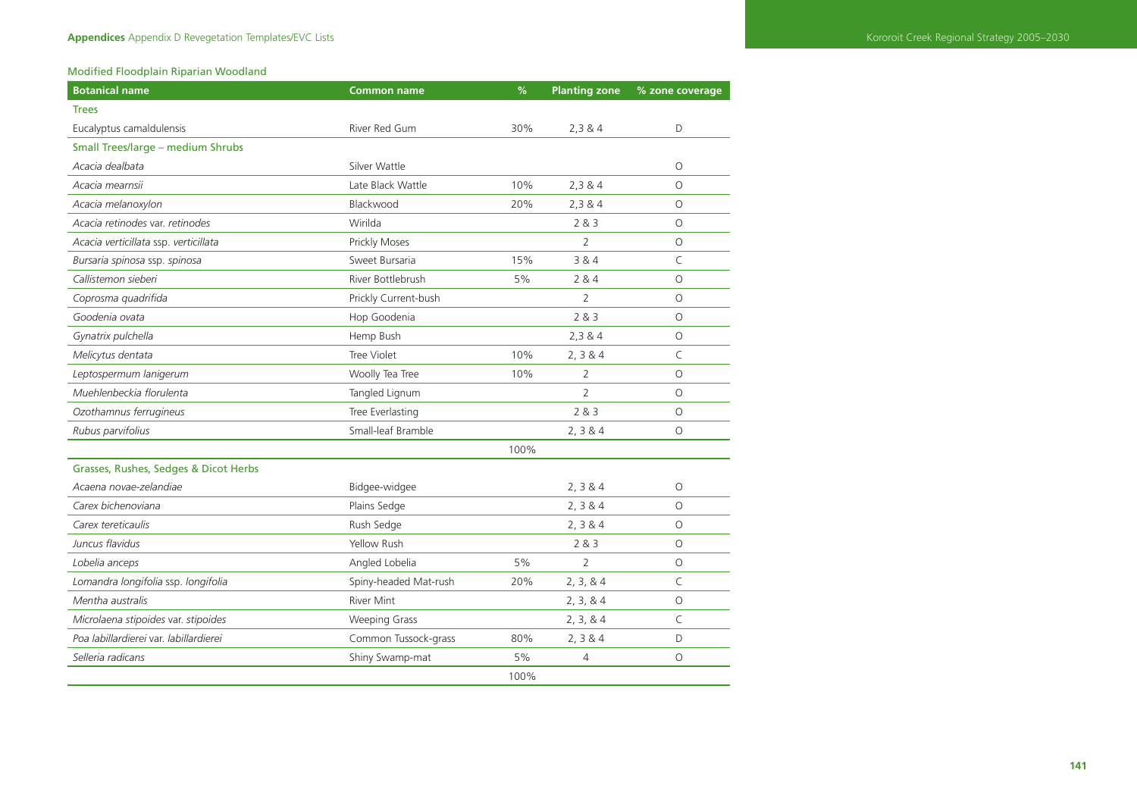# Modified Floodplain Riparian Woodland

| <b>Botanical name</b>                  | <b>Common name</b>    | $\%$ | <b>Planting zone</b> | % zone coverage |
|----------------------------------------|-----------------------|------|----------------------|-----------------|
| <b>Trees</b>                           |                       |      |                      |                 |
| Eucalyptus camaldulensis               | River Red Gum         | 30%  | 2,384                | D               |
| Small Trees/large - medium Shrubs      |                       |      |                      |                 |
| Acacia dealbata                        | Silver Wattle         |      |                      | $\circ$         |
| Acacia mearnsii                        | Late Black Wattle     | 10%  | 2,384                | $\circ$         |
| Acacia melanoxylon                     | Blackwood             | 20%  | 2,384                | $\Omega$        |
| Acacia retinodes var. retinodes        | Wirilda               |      | 2 & 3                | $\circ$         |
| Acacia verticillata ssp. verticillata  | Prickly Moses         |      | 2                    | $\circ$         |
| Bursaria spinosa ssp. spinosa          | Sweet Bursaria        | 15%  | 3 & 4                | C               |
| Callistemon sieberi                    | River Bottlebrush     | 5%   | 284                  | $\Omega$        |
| Coprosma quadrifida                    | Prickly Current-bush  |      | $\overline{2}$       | $\circ$         |
| Goodenia ovata                         | Hop Goodenia          |      | 283                  | $\circ$         |
| Gynatrix pulchella                     | Hemp Bush             |      | 2,384                | $\circ$         |
| Melicytus dentata                      | Tree Violet           | 10%  | 2, 3 & 4             | C               |
| Leptospermum lanigerum                 | Woolly Tea Tree       | 10%  | $\overline{2}$       | $\circ$         |
| Muehlenbeckia florulenta               | Tangled Lignum        |      | $\overline{2}$       | $\Omega$        |
| Ozothamnus ferrugineus                 | Tree Everlasting      |      | 283                  | $\circ$         |
| Rubus parvifolius                      | Small-leaf Bramble    |      | 2, 3 & 4             | $\Omega$        |
|                                        |                       | 100% |                      |                 |
| Grasses, Rushes, Sedges & Dicot Herbs  |                       |      |                      |                 |
| Acaena novae-zelandiae                 | Bidgee-widgee         |      | 2, 3 & 4             | $\circ$         |
| Carex bichenoviana                     | Plains Sedge          |      | 2, 3 & 4             | $\circ$         |
| Carex tereticaulis                     | Rush Sedge            |      | 2, 3 & 4             | O               |
| Juncus flavidus                        | Yellow Rush           |      | 2 & 3                | $\circ$         |
| Lobelia anceps                         | Angled Lobelia        | 5%   | $\overline{2}$       | $\circ$         |
| Lomandra longifolia ssp. longifolia    | Spiny-headed Mat-rush | 20%  | 2, 3, 8, 4           | $\mathsf C$     |
| Mentha australis                       | <b>River Mint</b>     |      | 2, 3, 8, 4           | $\circ$         |
| Microlaena stipoides var. stipoides    | <b>Weeping Grass</b>  |      | 2, 3, 8, 4           | C               |
| Poa labillardierei var. labillardierei | Common Tussock-grass  | 80%  | 2, 3 & 4             | D               |
| Selleria radicans                      | Shiny Swamp-mat       | 5%   | 4                    | $\circ$         |
|                                        |                       | 100% |                      |                 |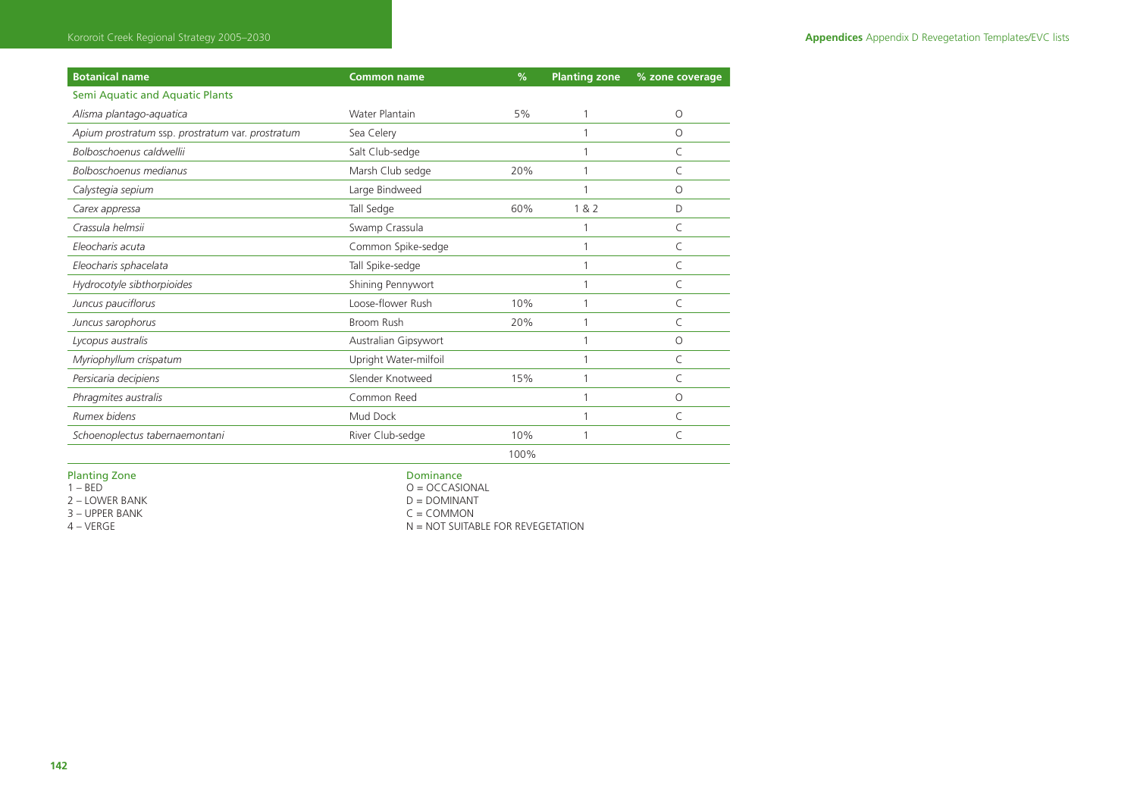| <b>Botanical name</b>                            | <b>Common name</b>    | %    | <b>Planting zone</b> | % zone coverage |
|--------------------------------------------------|-----------------------|------|----------------------|-----------------|
| Semi Aquatic and Aquatic Plants                  |                       |      |                      |                 |
| Alisma plantago-aquatica                         | <b>Water Plantain</b> | 5%   |                      | O               |
| Apium prostratum ssp. prostratum var. prostratum | Sea Celery            |      |                      | $\Omega$        |
| Bolboschoenus caldwellii                         | Salt Club-sedge       |      |                      | C               |
| Bolboschoenus medianus                           | Marsh Club sedge      | 20%  |                      | C               |
| Calystegia sepium                                | Large Bindweed        |      |                      | $\Omega$        |
| Carex appressa                                   | Tall Sedge            | 60%  | 1 & 82               | D               |
| Crassula helmsii                                 | Swamp Crassula        |      |                      | C               |
| Eleocharis acuta                                 | Common Spike-sedge    |      |                      | C               |
| Eleocharis sphacelata                            | Tall Spike-sedge      |      |                      | C               |
| Hydrocotyle sibthorpioides                       | Shining Pennywort     |      |                      | C               |
| Juncus pauciflorus                               | Loose-flower Rush     | 10%  |                      | C               |
| Juncus sarophorus                                | Broom Rush            | 20%  |                      | C               |
| Lycopus australis                                | Australian Gipsywort  |      |                      | $\circ$         |
| Myriophyllum crispatum                           | Upright Water-milfoil |      |                      | C               |
| Persicaria decipiens                             | Slender Knotweed      | 15%  |                      | C               |
| Phragmites australis                             | Common Reed           |      |                      | $\circ$         |
| Rumex bidens                                     | Mud Dock              |      |                      | C               |
| Schoenoplectus tabernaemontani                   | River Club-sedge      | 10%  |                      | C               |
|                                                  |                       | 100% |                      |                 |

Planting Zone **Dominance**<br>1 – BED **Dominance**<br>2 – Dominance Dominance Dominance

2 – LOWER BANK D = DOMINANT<br>3 – UPPER BANK C = COMMON 3 – UPPER BANK<br>4 – VERGE

0 = OCCASIONAL<br>D = DOMINANT

 $N = NOT$  SUITABLE FOR REVEGETATION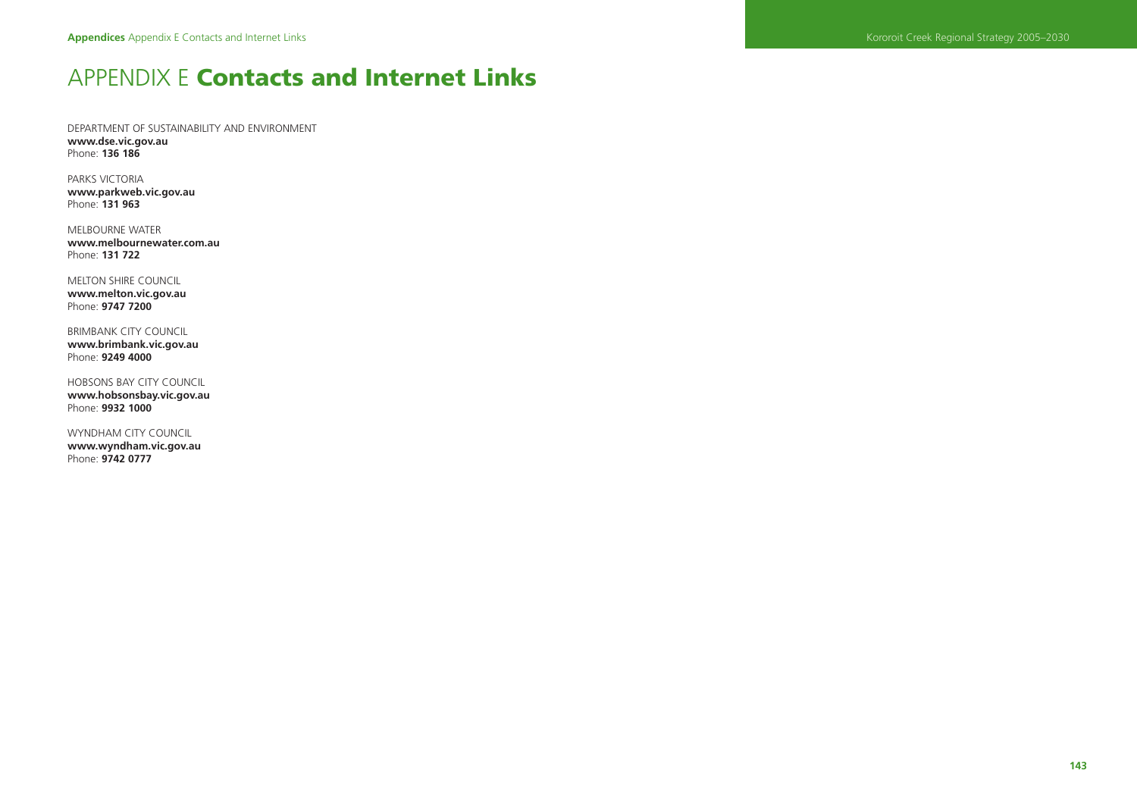# APPENDIX E **Contacts and Internet Links**

DEPARTMENT OF SUSTAINABILITY AND ENVIRONMENT **www.dse.vic.gov.au**  Phone: **136 186** 

PARKS VICTORIA **www.parkweb.vic.gov.au**  Phone: **131 963** 

MELBOURNE WATER **www.melbournewater.com.au**  Phone: **131 722** 

MELTON SHIRE COUNCIL **www.melton.vic.gov.au**  Phone: **9747 7200** 

BRIMBANK CITY COUNCIL **www.brimbank.vic.gov.au**  Phone: **9249 4000** 

HOBSONS BAY CITY COUNCIL **www.hobsonsbay.vic.gov.au**  Phone: **9932 1000** 

WYNDHAM CITY COUNCIL **www.wyndham.vic.gov.au**  Phone: **9742 0777**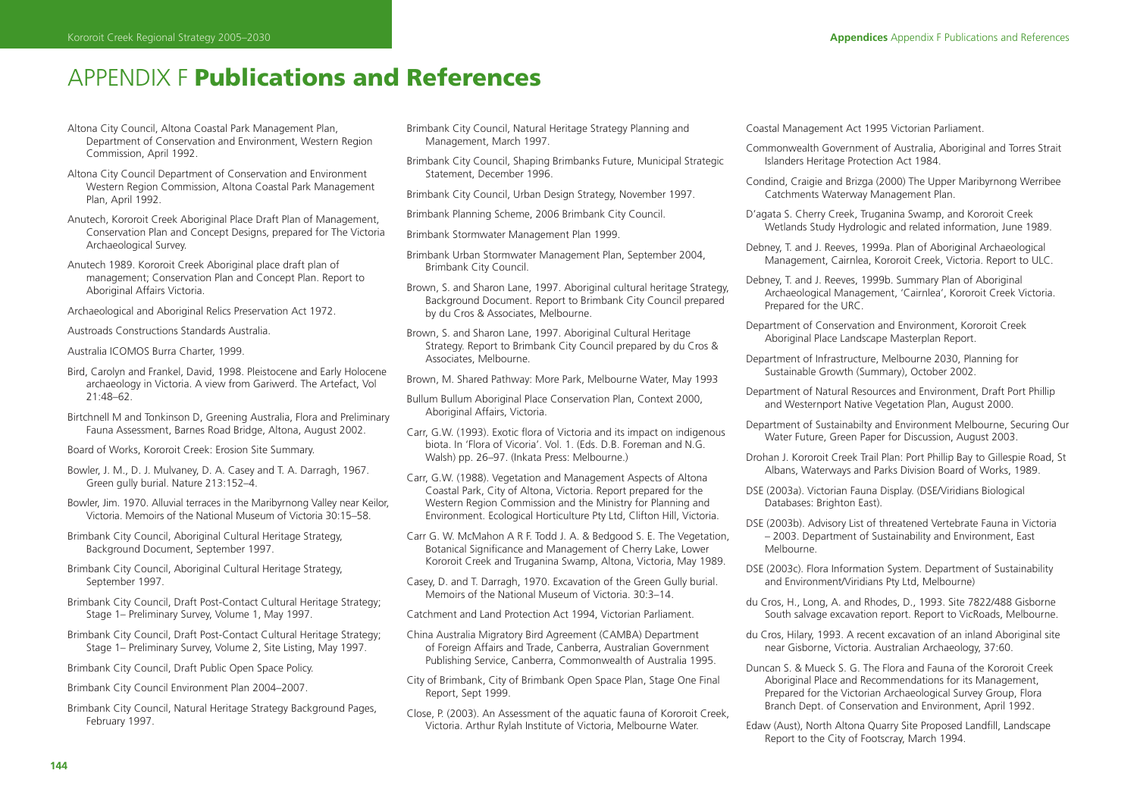# APPENDIX F **Publications and References**

- Altona City Council, Altona Coastal Park Management Plan, Department of Conservation and Environment, Western Region Commission, April 1992.
- Altona City Council Department of Conservation and Environment Western Region Commission, Altona Coastal Park Management Plan, April 1992.
- Anutech, Kororoit Creek Aboriginal Place Draft Plan of Management, Conservation Plan and Concept Designs, prepared for The Victoria Archaeological Survey.
- Anutech 1989. Kororoit Creek Aboriginal place draft plan of management; Conservation Plan and Concept Plan. Report to Aboriginal Affairs Victoria.
- Archaeological and Aboriginal Relics Preservation Act 1972.

Austroads Constructions Standards Australia.

Australia ICOMOS Burra Charter, 1999.

- Bird, Carolyn and Frankel, David, 1998. Pleistocene and Early Holocene archaeology in Victoria. A view from Gariwerd. The Artefact, Vol 21:48–62.
- Birtchnell M and Tonkinson D, Greening Australia, Flora and Preliminary Fauna Assessment, Barnes Road Bridge, Altona, August 2002.
- Board of Works, Kororoit Creek: Erosion Site Summary.
- Bowler, J. M., D. J. Mulvaney, D. A. Casey and T. A. Darragh, 1967. Green gully burial. Nature 213:152–4.
- Bowler, Jim. 1970. Alluvial terraces in the Maribyrnong Valley near Keilor, Victoria. Memoirs of the National Museum of Victoria 30:15–58.
- Brimbank City Council, Aboriginal Cultural Heritage Strategy, Background Document, September 1997.
- Brimbank City Council, Aboriginal Cultural Heritage Strategy, September 1997.
- Brimbank City Council, Draft Post-Contact Cultural Heritage Strategy; Stage 1– Preliminary Survey, Volume 1, May 1997.
- Brimbank City Council, Draft Post-Contact Cultural Heritage Strategy; Stage 1– Preliminary Survey, Volume 2, Site Listing, May 1997.
- Brimbank City Council, Draft Public Open Space Policy.
- Brimbank City Council Environment Plan 2004–2007.
- Brimbank City Council, Natural Heritage Strategy Background Pages, February 1997.
- Brimbank City Council, Natural Heritage Strategy Planning and Management, March 1997.
- Brimbank City Council, Shaping Brimbanks Future, Municipal Strategic Statement, December 1996.

Brimbank City Council, Urban Design Strategy, November 1997.

- Brimbank Planning Scheme, 2006 Brimbank City Council.
- Brimbank Stormwater Management Plan 1999.
- Brimbank Urban Stormwater Management Plan, September 2004, Brimbank City Council.
- Brown, S. and Sharon Lane, 1997. Aboriginal cultural heritage Strategy, Background Document. Report to Brimbank City Council prepared by du Cros & Associates, Melbourne.
- Brown, S. and Sharon Lane, 1997. Aboriginal Cultural Heritage Strategy. Report to Brimbank City Council prepared by du Cros & Associates, Melbourne.

Brown, M. Shared Pathway: More Park, Melbourne Water, May 1993

- Bullum Bullum Aboriginal Place Conservation Plan, Context 2000, Aboriginal Affairs, Victoria.
- Carr, G.W. (1993). Exotic flora of Victoria and its impact on indigenous biota. In 'Flora of Vicoria'. Vol. 1. (Eds. D.B. Foreman and N.G. Walsh) pp. 26–97. (Inkata Press: Melbourne.)
- Carr, G.W. (1988). Vegetation and Management Aspects of Altona Coastal Park, City of Altona, Victoria. Report prepared for the Western Region Commission and the Ministry for Planning and Environment. Ecological Horticulture Pty Ltd, Clifton Hill, Victoria.
- Carr G. W. McMahon A R F. Todd J. A. & Bedgood S. E. The Vegetation, Botanical Significance and Management of Cherry Lake, Lower Kororoit Creek and Truganina Swamp, Altona, Victoria, May 1989.
- Casey, D. and T. Darragh, 1970. Excavation of the Green Gully burial. Memoirs of the National Museum of Victoria. 30:3–14.
- Catchment and Land Protection Act 1994, Victorian Parliament.
- China Australia Migratory Bird Agreement (CAMBA) Department of Foreign Affairs and Trade, Canberra, Australian Government Publishing Service, Canberra, Commonwealth of Australia 1995.
- City of Brimbank, City of Brimbank Open Space Plan, Stage One Final Report, Sept 1999.
- Close, P. (2003). An Assessment of the aquatic fauna of Kororoit Creek, Victoria. Arthur Rylah Institute of Victoria, Melbourne Water.

Coastal Management Act 1995 Victorian Parliament.

- Commonwealth Government of Australia, Aboriginal and Torres Strait Islanders Heritage Protection Act 1984.
- Condind, Craigie and Brizga (2000) The Upper Maribyrnong Werribee Catchments Waterway Management Plan.
- D'agata S. Cherry Creek, Truganina Swamp, and Kororoit Creek Wetlands Study Hydrologic and related information, June 1989.
- Debney, T. and J. Reeves, 1999a. Plan of Aboriginal Archaeological Management, Cairnlea, Kororoit Creek, Victoria. Report to ULC.
- Debney, T. and J. Reeves, 1999b. Summary Plan of Aboriginal Archaeological Management, 'Cairnlea', Kororoit Creek Victoria. Prepared for the URC.
- Department of Conservation and Environment, Kororoit Creek Aboriginal Place Landscape Masterplan Report.
- Department of Infrastructure, Melbourne 2030, Planning for Sustainable Growth (Summary), October 2002.
- Department of Natural Resources and Environment, Draft Port Phillip and Westernport Native Vegetation Plan, August 2000.
- Department of Sustainabilty and Environment Melbourne, Securing Our Water Future, Green Paper for Discussion, August 2003.
- Drohan J. Kororoit Creek Trail Plan: Port Phillip Bay to Gillespie Road, St Albans, Waterways and Parks Division Board of Works, 1989.
- DSE (2003a). Victorian Fauna Display. (DSE/Viridians Biological Databases: Brighton East).
- DSE (2003b). Advisory List of threatened Vertebrate Fauna in Victoria – 2003. Department of Sustainability and Environment, East Melbourne.
- DSE (2003c). Flora Information System. Department of Sustainability and Environment/Viridians Pty Ltd, Melbourne)
- du Cros, H., Long, A. and Rhodes, D., 1993. Site 7822/488 Gisborne South salvage excavation report. Report to VicRoads, Melbourne.
- du Cros, Hilary, 1993. A recent excavation of an inland Aboriginal site near Gisborne, Victoria. Australian Archaeology, 37:60.
- Duncan S. & Mueck S. G. The Flora and Fauna of the Kororoit Creek Aboriginal Place and Recommendations for its Management, Prepared for the Victorian Archaeological Survey Group, Flora Branch Dept. of Conservation and Environment, April 1992.
- Edaw (Aust), North Altona Quarry Site Proposed Landfill, Landscape Report to the City of Footscray, March 1994.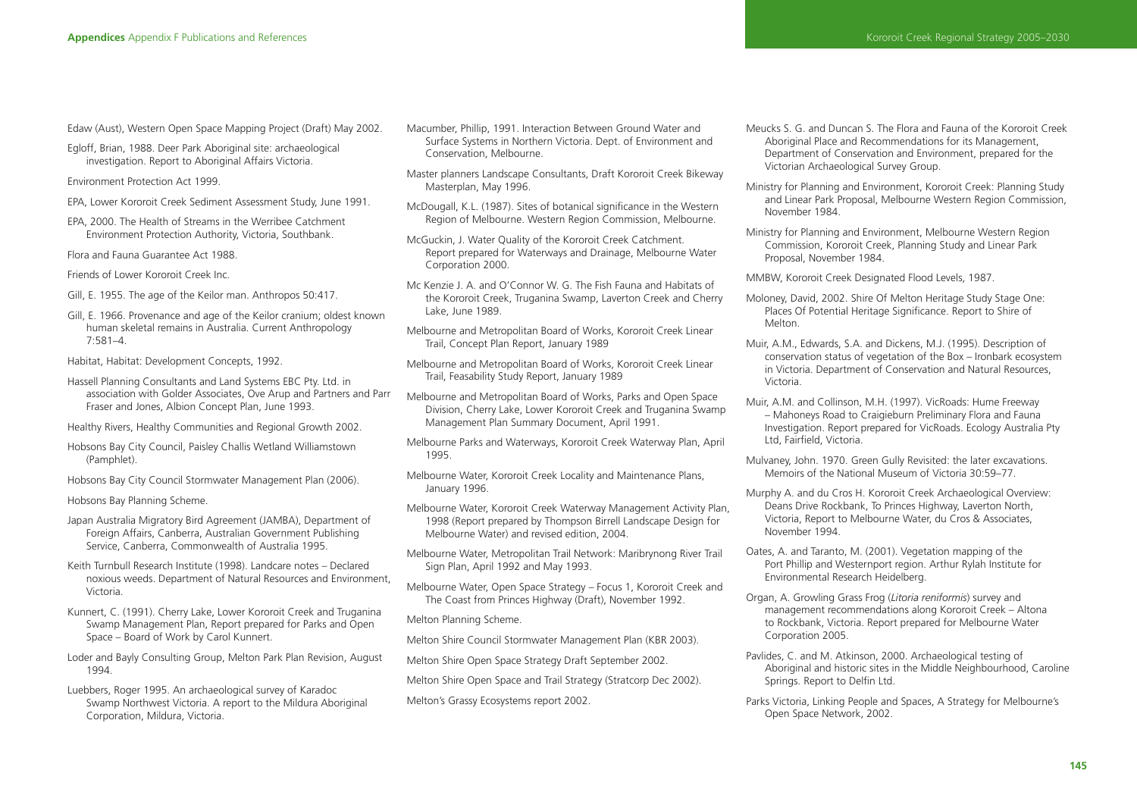Edaw (Aust), Western Open Space Mapping Project (Draft) May 2002.

Egloff, Brian, 1988. Deer Park Aboriginal site: archaeological investigation. Report to Aboriginal Affairs Victoria.

Environment Protection Act 1999.

- EPA, Lower Kororoit Creek Sediment Assessment Study, June 1991.
- EPA, 2000. The Health of Streams in the Werribee Catchment Environment Protection Authority, Victoria, Southbank.

Flora and Fauna Guarantee Act 1988.

Friends of Lower Kororoit Creek Inc.

- Gill, E. 1955. The age of the Keilor man. Anthropos 50:417.
- Gill, E. 1966. Provenance and age of the Keilor cranium; oldest known human skeletal remains in Australia. Current Anthropology 7:581–4.
- Habitat, Habitat: Development Concepts, 1992.
- Hassell Planning Consultants and Land Systems EBC Pty. Ltd. in association with Golder Associates, Ove Arup and Partners and Parr Fraser and Jones, Albion Concept Plan, June 1993.
- Healthy Rivers, Healthy Communities and Regional Growth 2002.
- Hobsons Bay City Council, Paisley Challis Wetland Williamstown (Pamphlet).
- Hobsons Bay City Council Stormwater Management Plan (2006).

Hobsons Bay Planning Scheme.

- Japan Australia Migratory Bird Agreement (JAMBA), Department of Foreign Affairs, Canberra, Australian Government Publishing Service, Canberra, Commonwealth of Australia 1995.
- Keith Turnbull Research Institute (1998). Landcare notes Declared noxious weeds. Department of Natural Resources and Environment, Victoria.
- Kunnert, C. (1991). Cherry Lake, Lower Kororoit Creek and Truganina Swamp Management Plan, Report prepared for Parks and Open Space – Board of Work by Carol Kunnert.
- Loder and Bayly Consulting Group, Melton Park Plan Revision, August 1994.
- Luebbers, Roger 1995. An archaeological survey of Karadoc Swamp Northwest Victoria. A report to the Mildura Aboriginal Corporation, Mildura, Victoria.
- Macumber, Phillip, 1991. Interaction Between Ground Water and Surface Systems in Northern Victoria. Dept. of Environment and Conservation, Melbourne.
- Master planners Landscape Consultants, Draft Kororoit Creek Bikeway Masterplan, May 1996.
- McDougall, K.L. (1987). Sites of botanical significance in the Western Region of Melbourne. Western Region Commission, Melbourne.
- McGuckin, J. Water Quality of the Kororoit Creek Catchment. Report prepared for Waterways and Drainage, Melbourne Water Corporation 2000.
- Mc Kenzie J. A. and O'Connor W. G. The Fish Fauna and Habitats of the Kororoit Creek, Truganina Swamp, Laverton Creek and Cherry Lake, June 1989.
- Melbourne and Metropolitan Board of Works, Kororoit Creek Linear Trail, Concept Plan Report, January 1989
- Melbourne and Metropolitan Board of Works, Kororoit Creek Linear Trail, Feasability Study Report, January 1989
- Melbourne and Metropolitan Board of Works, Parks and Open Space Division, Cherry Lake, Lower Kororoit Creek and Truganina Swamp Management Plan Summary Document, April 1991.
- Melbourne Parks and Waterways, Kororoit Creek Waterway Plan, April 1995.
- Melbourne Water, Kororoit Creek Locality and Maintenance Plans, January 1996.
- Melbourne Water, Kororoit Creek Waterway Management Activity Plan, 1998 (Report prepared by Thompson Birrell Landscape Design for Melbourne Water) and revised edition, 2004.
- Melbourne Water, Metropolitan Trail Network: Maribrynong River Trail Sign Plan, April 1992 and May 1993.
- Melbourne Water, Open Space Strategy Focus 1, Kororoit Creek and The Coast from Princes Highway (Draft), November 1992.
- Melton Planning Scheme.
- Melton Shire Council Stormwater Management Plan (KBR 2003).
- Melton Shire Open Space Strategy Draft September 2002.
- Melton Shire Open Space and Trail Strategy (Stratcorp Dec 2002).
- Melton's Grassy Ecosystems report 2002.
- Meucks S. G. and Duncan S. The Flora and Fauna of the Kororoit Creek Aboriginal Place and Recommendations for its Management, Department of Conservation and Environment, prepared for the Victorian Archaeological Survey Group.
- Ministry for Planning and Environment, Kororoit Creek: Planning Study and Linear Park Proposal, Melbourne Western Region Commission, November 1984.
- Ministry for Planning and Environment, Melbourne Western Region Commission, Kororoit Creek, Planning Study and Linear Park Proposal, November 1984.
- MMBW, Kororoit Creek Designated Flood Levels, 1987.
- Moloney, David, 2002. Shire Of Melton Heritage Study Stage One: Places Of Potential Heritage Significance. Report to Shire of Melton.
- Muir, A.M., Edwards, S.A. and Dickens, M.J. (1995). Description of conservation status of vegetation of the Box – Ironbark ecosystem in Victoria. Department of Conservation and Natural Resources, Victoria.
- Muir, A.M. and Collinson, M.H. (1997). VicRoads: Hume Freeway – Mahoneys Road to Craigieburn Preliminary Flora and Fauna Investigation. Report prepared for VicRoads. Ecology Australia Pty Ltd, Fairfield, Victoria.
- Mulvaney, John. 1970. Green Gully Revisited: the later excavations. Memoirs of the National Museum of Victoria 30:59–77.
- Murphy A. and du Cros H. Kororoit Creek Archaeological Overview: Deans Drive Rockbank, To Princes Highway, Laverton North, Victoria, Report to Melbourne Water, du Cros & Associates, November 1994.
- Oates, A. and Taranto, M. (2001). Vegetation mapping of the Port Phillip and Westernport region. Arthur Rylah Institute for Environmental Research Heidelberg.
- Organ, A. Growling Grass Frog (*Litoria reniformis*) survey and management recommendations along Kororoit Creek – Altona to Rockbank, Victoria. Report prepared for Melbourne Water Corporation 2005.
- Pavlides, C. and M. Atkinson, 2000. Archaeological testing of Aboriginal and historic sites in the Middle Neighbourhood, Caroline Springs. Report to Delfin Ltd.
- Parks Victoria, Linking People and Spaces, A Strategy for Melbourne's Open Space Network, 2002.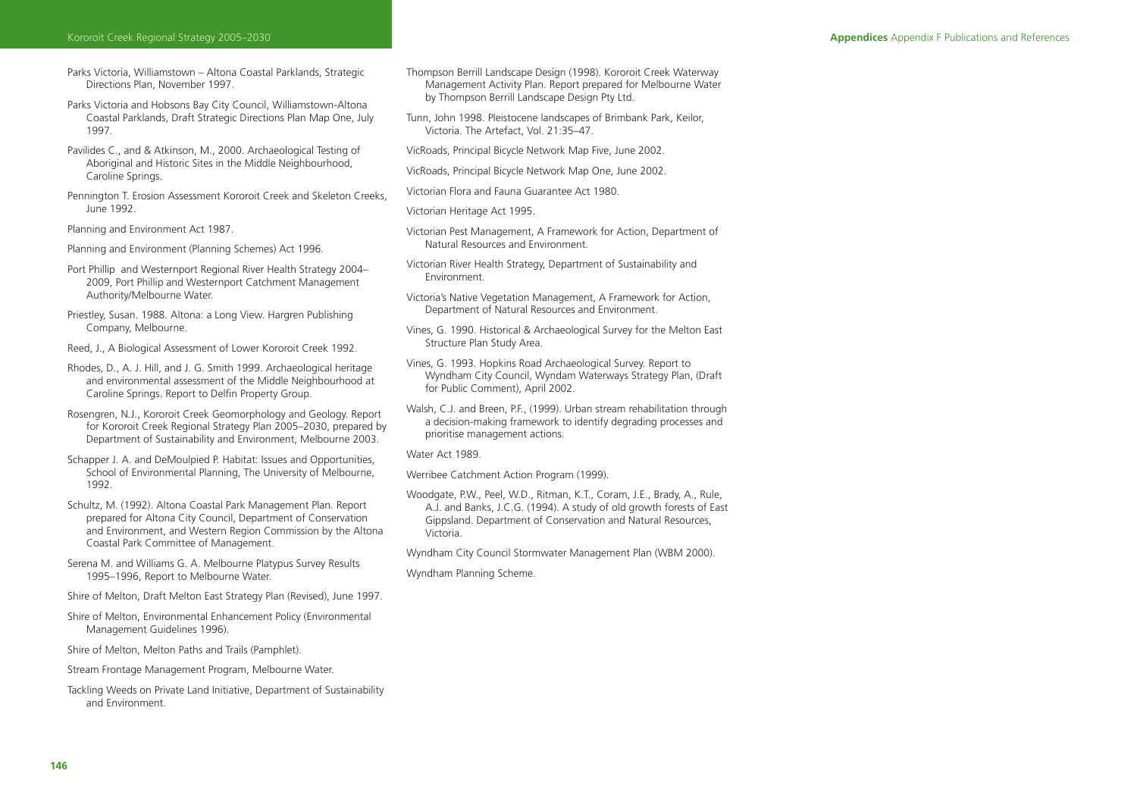- Parks Victoria, Williamstown Altona Coastal Parklands, Strategic Directions Plan, November 1997.
- Parks Victoria and Hobsons Bay City Council, Williamstown-Altona Coastal Parklands, Draft Strategic Directions Plan Map One, July 1997.
- Pavilides C., and & Atkinson, M., 2000. Archaeological Testing of Aboriginal and Historic Sites in the Middle Neighbourhood, Caroline Springs.
- Pennington T. Erosion Assessment Kororoit Creek and Skeleton Creeks, June 1992.

Planning and Environment Act 1987.

Planning and Environment (Planning Schemes) Act 1996.

- Port Phillip and Westernport Regional River Health Strategy 2004– 2009, Port Phillip and Westernport Catchment Management Authority/Melbourne Water.
- Priestley, Susan. 1988. Altona: a Long View. Hargren Publishing Company, Melbourne.

Reed, J., A Biological Assessment of Lower Kororoit Creek 1992.

Rhodes, D., A. J. Hill, and J. G. Smith 1999. Archaeological heritage and environmental assessment of the Middle Neighbourhood at Caroline Springs. Report to Delfin Property Group.

Rosengren, N.J., Kororoit Creek Geomorphology and Geology. Report for Kororoit Creek Regional Strategy Plan 2005–2030, prepared by Department of Sustainability and Environment, Melbourne 2003.

Schapper J. A. and DeMoulpied P. Habitat: Issues and Opportunities, School of Environmental Planning, The University of Melbourne, 1992.

Schultz, M. (1992). Altona Coastal Park Management Plan. Report prepared for Altona City Council, Department of Conservation and Environment, and Western Region Commission by the Altona Coastal Park Committee of Management.

Serena M. and Williams G. A. Melbourne Platypus Survey Results 1995–1996, Report to Melbourne Water.

Shire of Melton, Draft Melton East Strategy Plan (Revised), June 1997.

Shire of Melton, Environmental Enhancement Policy (Environmental Management Guidelines 1996).

Shire of Melton, Melton Paths and Trails (Pamphlet).

Stream Frontage Management Program, Melbourne Water.

Tackling Weeds on Private Land Initiative, Department of Sustainability and Environment.

Thompson Berrill Landscape Design (1998). Kororoit Creek Waterway Management Activity Plan. Report prepared for Melbourne Water by Thompson Berrill Landscape Design Pty Ltd.

Tunn, John 1998. Pleistocene landscapes of Brimbank Park, Keilor, Victoria. The Artefact, Vol. 21:35–47.

- VicRoads, Principal Bicycle Network Map Five, June 2002.
- VicRoads, Principal Bicycle Network Map One, June 2002.

Victorian Flora and Fauna Guarantee Act 1980.

Victorian Heritage Act 1995.

Victorian Pest Management, A Framework for Action, Department of Natural Resources and Environment.

Victorian River Health Strategy, Department of Sustainability and Environment.

Victoria's Native Vegetation Management, A Framework for Action, Department of Natural Resources and Environment.

Vines, G. 1990. Historical & Archaeological Survey for the Melton East Structure Plan Study Area.

Vines, G. 1993. Hopkins Road Archaeological Survey. Report to Wyndham City Council, Wyndam Waterways Strategy Plan, (Draft for Public Comment), April 2002.

Walsh, C.J. and Breen, P.F., (1999). Urban stream rehabilitation through a decision-making framework to identify degrading processes and prioritise management actions.

Water Act 1989.

Werribee Catchment Action Program (1999).

Woodgate, P.W., Peel, W.D., Ritman, K.T., Coram, J.E., Brady, A., Rule, A.J. and Banks, J.C.G. (1994). A study of old growth forests of East Gippsland. Department of Conservation and Natural Resources, Victoria.

Wyndham City Council Stormwater Management Plan (WBM 2000).

Wyndham Planning Scheme.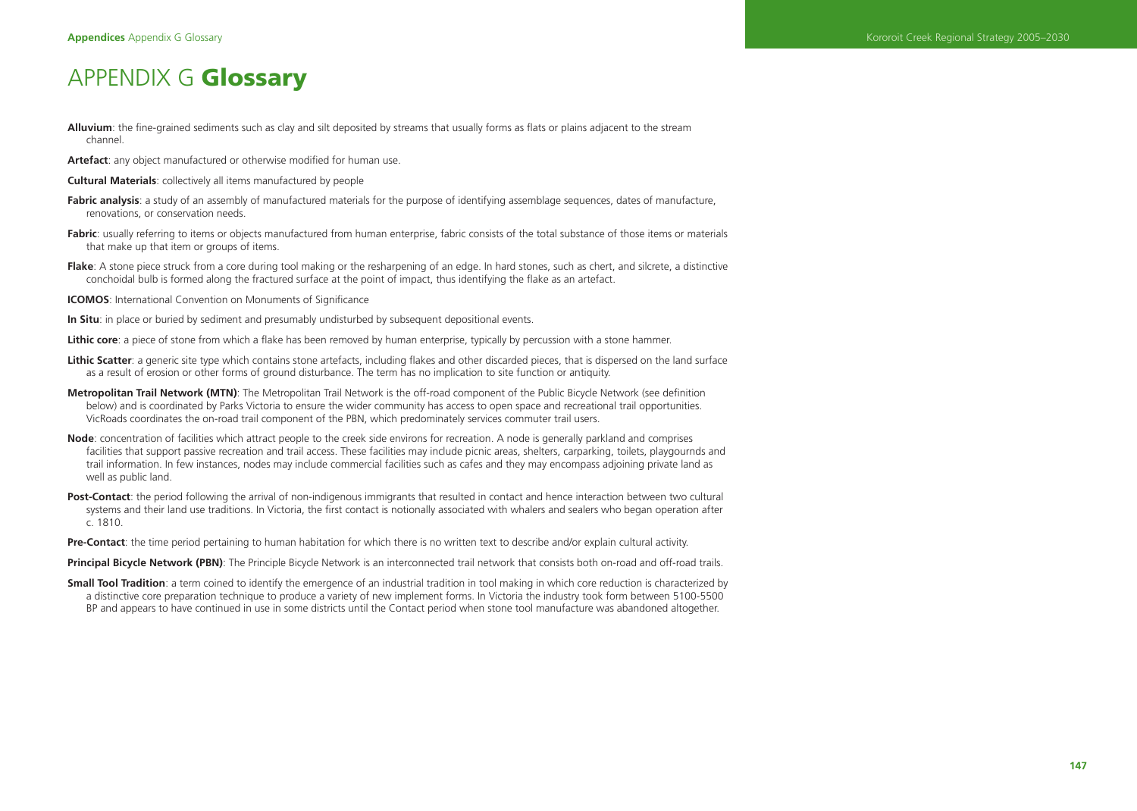# APPENDIX G **Glossary**

- **Alluvium**: the fine-grained sediments such as clay and silt deposited by streams that usually forms as flats or plains adjacent to the stream channel.
- **Artefact**: any object manufactured or otherwise modified for human use.
- **Cultural Materials**: collectively all items manufactured by people
- Fabric analysis: a study of an assembly of manufactured materials for the purpose of identifying assemblage sequences, dates of manufacture. renovations, or conservation needs.
- **Fabric**: usually referring to items or objects manufactured from human enterprise, fabric consists of the total substance of those items or materials that make up that item or groups of items.
- **Flake**: A stone piece struck from a core during tool making or the resharpening of an edge. In hard stones, such as chert, and silcrete, a distinctive conchoidal bulb is formed along the fractured surface at the point of impact, thus identifying the flake as an artefact.
- **ICOMOS**: International Convention on Monuments of Significance
- **In Situ**: in place or buried by sediment and presumably undisturbed by subsequent depositional events.
- Lithic core: a piece of stone from which a flake has been removed by human enterprise, typically by percussion with a stone hammer.
- Lithic Scatter: a generic site type which contains stone artefacts, including flakes and other discarded pieces, that is dispersed on the land surface as a result of erosion or other forms of ground disturbance. The term has no implication to site function or antiquity.
- Metropolitan Trail Network (MTN): The Metropolitan Trail Network is the off-road component of the Public Bicycle Network (see definition below) and is coordinated by Parks Victoria to ensure the wider community has access to open space and recreational trail opportunities. VicRoads coordinates the on-road trail component of the PBN, which predominately services commuter trail users.
- **Node**: concentration of facilities which attract people to the creek side environs for recreation. A node is generally parkland and comprises facilities that support passive recreation and trail access. These facilities may include picnic areas, shelters, carparking, toilets, playgournds and trail information. In few instances, nodes may include commercial facilities such as cafes and they may encompass adjoining private land as well as public land.
- **Post-Contact**: the period following the arrival of non-indigenous immigrants that resulted in contact and hence interaction between two cultural systems and their land use traditions. In Victoria, the first contact is notionally associated with whalers and sealers who began operation after c. 1810.
- **Pre-Contact**: the time period pertaining to human habitation for which there is no written text to describe and/or explain cultural activity.
- **Principal Bicycle Network (PBN)**: The Principle Bicycle Network is an interconnected trail network that consists both on-road and off-road trails.
- **Small Tool Tradition**: a term coined to identify the emergence of an industrial tradition in tool making in which core reduction is characterized by a distinctive core preparation technique to produce a variety of new implement forms. In Victoria the industry took form between 5100-5500 BP and appears to have continued in use in some districts until the Contact period when stone tool manufacture was abandoned altogether.